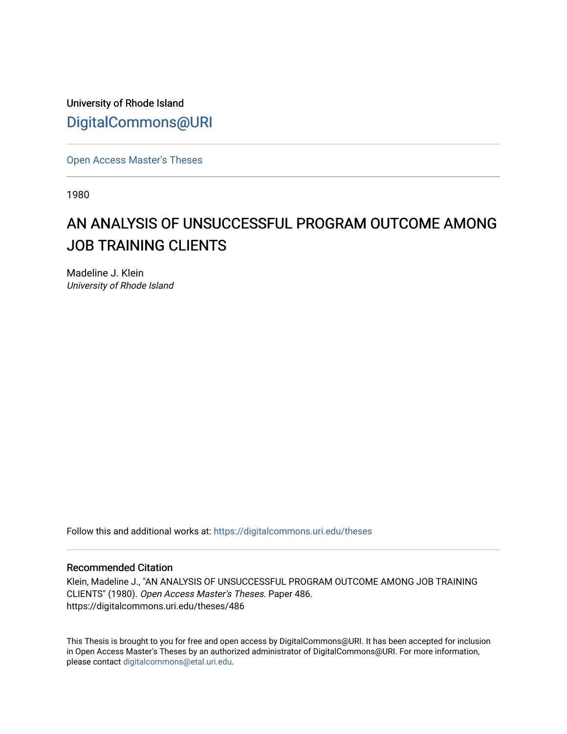University of Rhode Island [DigitalCommons@URI](https://digitalcommons.uri.edu/) 

[Open Access Master's Theses](https://digitalcommons.uri.edu/theses) 

1980

# AN ANALYSIS OF UNSUCCESSFUL PROGRAM OUTCOME AMONG JOB TRAINING CLIENTS

Madeline J. Klein University of Rhode Island

Follow this and additional works at: [https://digitalcommons.uri.edu/theses](https://digitalcommons.uri.edu/theses?utm_source=digitalcommons.uri.edu%2Ftheses%2F486&utm_medium=PDF&utm_campaign=PDFCoverPages)

# Recommended Citation

Klein, Madeline J., "AN ANALYSIS OF UNSUCCESSFUL PROGRAM OUTCOME AMONG JOB TRAINING CLIENTS" (1980). Open Access Master's Theses. Paper 486. https://digitalcommons.uri.edu/theses/486

This Thesis is brought to you for free and open access by DigitalCommons@URI. It has been accepted for inclusion in Open Access Master's Theses by an authorized administrator of DigitalCommons@URI. For more information, please contact [digitalcommons@etal.uri.edu.](mailto:digitalcommons@etal.uri.edu)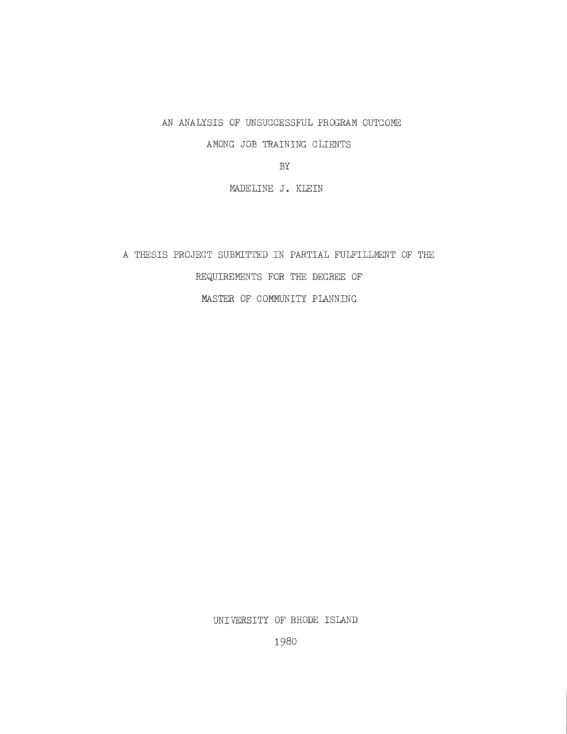AN ANALYSIS OF UNSUCCESSFUL PROGRAM OUTCOME

AMONG JOB TRAINING CLIENTS

BY

MADELINE J, KLEIN

A THESIS PROJECT SUBMITTED IN PARTIAL FULFILLMENT OF THE REQUIREMENTS FOR THE DEGREE OF MASTER OF COMMUNITY PLANNING

UNIVERSITY OF RHODE ISLAND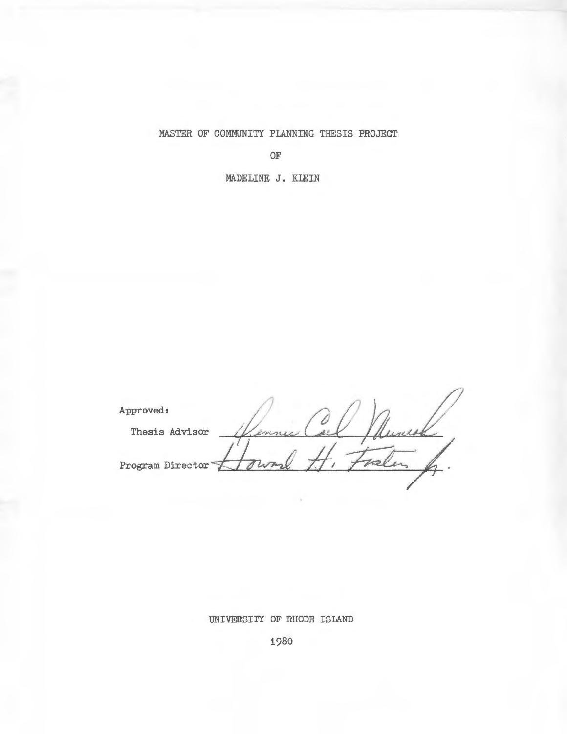MASTER OF COMMUNITY PLANNING THESIS PROJECT

OF

MADELINE J. KLEIN

Approved:  $\bigcap$   $\bigcap$ Thesis Advisor - Vennu Carl Munich Program Director **Launal** H. Faelen

UNIVERSITY OF RHODE ISLAND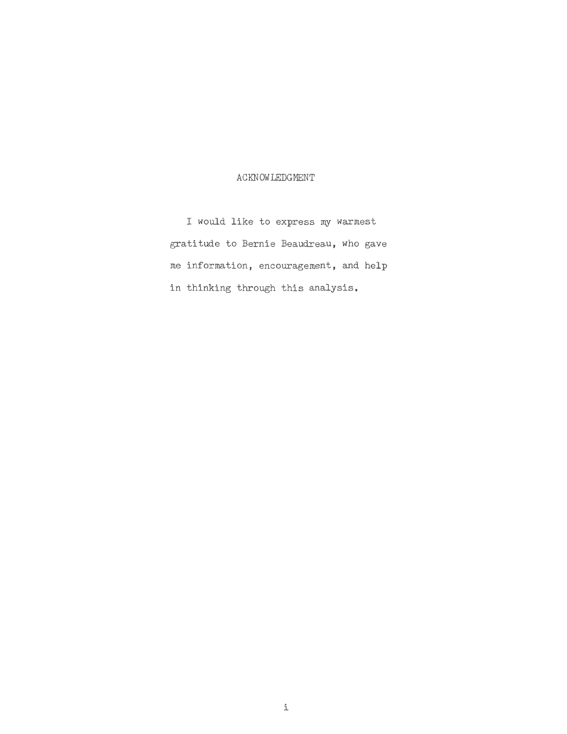## ACKNOWLEDGMENT

I would like to express my warmest gratitude to Bernie Beaudreau, who gave me information, encouragement, and help in thinking through this analysis.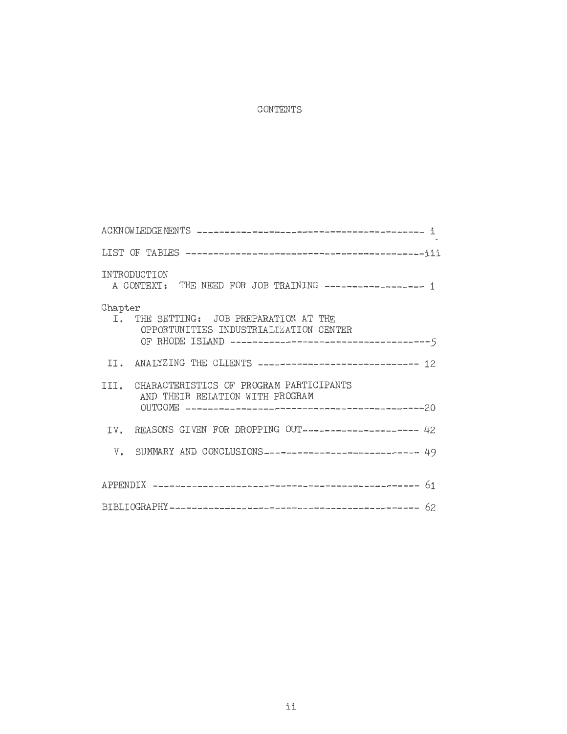# CONTENTS

| INTRODUCTION<br>A CONTEXT: THE NEED FOR JOB TRAINING ----------------- 1                                                                           |
|----------------------------------------------------------------------------------------------------------------------------------------------------|
| Chapter<br>I. THE SETTING: JOB PREPARATION AT THE<br>OPPORTUNITIES INDUSTRIALIZATION CENTER<br>OF RHODE ISLAND ----------------------------------5 |
| II. ANALYZING THE CLIENTS ----------------------------- 12                                                                                         |
| III. CHARACTERISTICS OF PROGRAM PARTICIPANTS<br>AND THEIR RELATION WITH PROGRAM                                                                    |
| IV. REASONS GIVEN FOR DROPPING OUT-------------------- 42                                                                                          |
| V. SUMMARY AND CONCLUSIONS---------------------------- 49                                                                                          |
|                                                                                                                                                    |
|                                                                                                                                                    |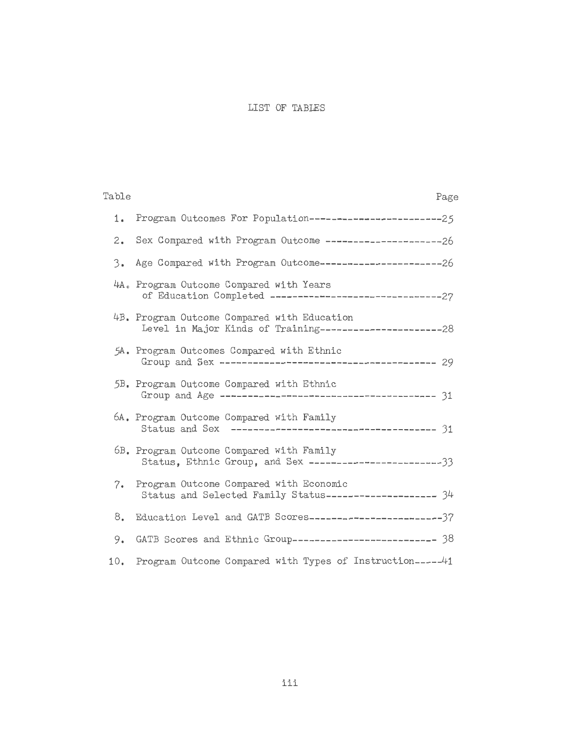# LIST OF TABLES

| Table    | Page                                                                                                    |
|----------|---------------------------------------------------------------------------------------------------------|
| 1.       | Program Outcomes For Population-------------------------25                                              |
| 2.       | Sex Compared with Program Outcome ---------------------26                                               |
| $3\cdot$ | Age Compared with Program Outcome ----------------------26                                              |
|          | 4A. Program Outcome Compared with Years                                                                 |
|          | 4B. Program Outcome Compared with Education                                                             |
|          | 5A. Program Outcomes Compared with Ethnic                                                               |
|          | 5B. Program Outcome Compared with Ethnic                                                                |
|          | 6A. Program Outcome Compared with Family                                                                |
|          | 6B. Program Outcome Compared with Family<br>Status, Ethnic Group, and Sex ---------------------------33 |
| 7.       | Program Outcome Compared with Economic<br>Status and Selected Family Status-------------------- 34      |
| 8.       | Education Level and GATB Scores-------------------------37                                              |
| 9.       | GATB Scores and Ethnic Group-------------------------- 38                                               |
| 10.      | Program Outcome Compared with Types of Instruction-----41                                               |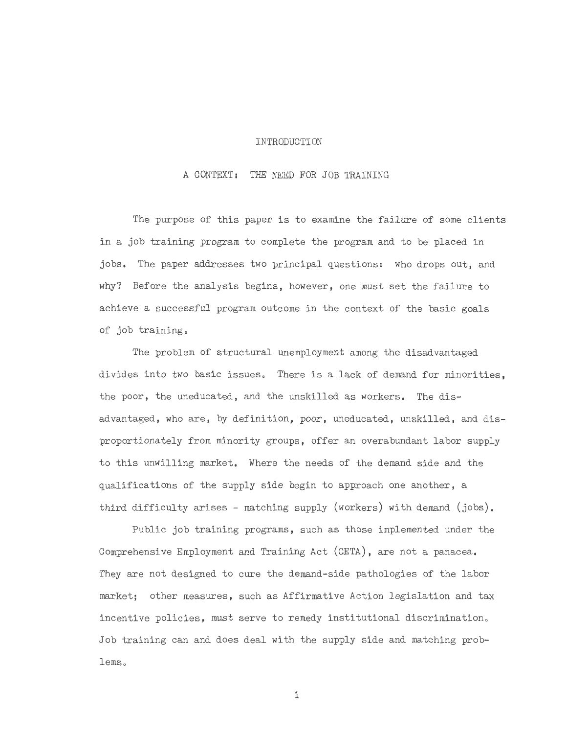#### INTRODUCTION

#### A CONTEXT: THE NEED FOR JOB TRAINING

The purpose of this paper is to examine the failure of some clients in a job training program to complete the program and to be placed in jobs. The paper addresses two principal questions: who drops out, and why? Before the analysis begins, however, one must set the failure to achieve a successful program outcome in the context of the basic goals of job training.

The problem of structural unemployment among the disadvantaged divides into two basic issues. There is a lack of demand for minorities. the poor, the uneducated, and the unskilled as workers. The disadvantaged, who are, by definition, poor, uneducated, unskilled, and disproportionately from minority groups, offer an overabundant labor supply to this unwilling market. Where the needs of the demand side and the qualifications of the supply side begin to approach one another, a third difficulty arises - matching supply (workers) with demand (jobs).

Public job training programs, such as those implemented under the Comprehensive Employment and Training Act (CETA), are not a panacea. They are not designed to cure the demand-side pathologies of the labor market; other measures, such as Affirmative Action legislation and tax incentive policies, must serve to remedy institutional discrimination. Job training can and does deal with the supply side and matching problems.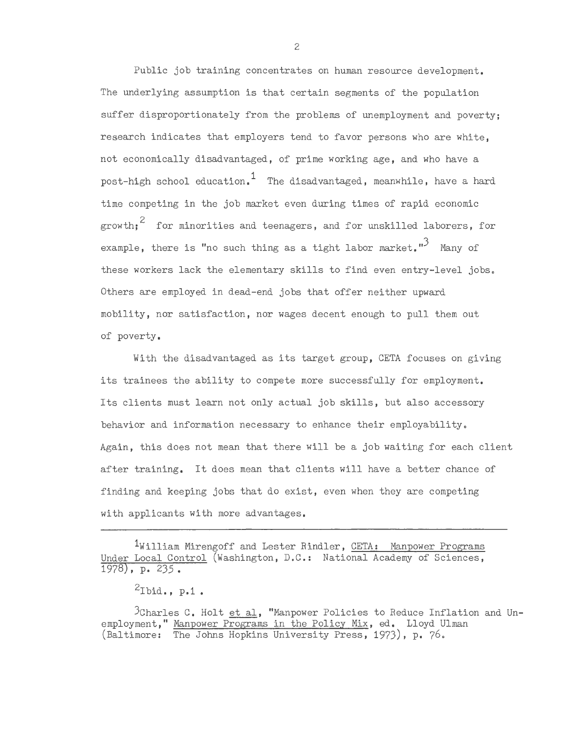Public job training concentrates on human resource development. The underlying assumption is that certain segments of the population suffer disproportionately from the problems of unemployment and poverty; research indicates that employers tend to favor persons who are white, not economically disadvantaged, of prime working age, and who have a post-high school education.<sup>1</sup> The disadvantaged, meanwhile, have a hard time competing in the job market even during times of rapid economic  $2$  for minorities and teenagers, and for unskilled laborers, for example, there is "no such thing as a tight labor market."<sup>3</sup> Many of these workers lack the elementary skills to find even entry-level jobs. Others are employed in dead-end jobs that offer neither upward mobility, nor satisfaction, nor wages decent enough to pull them out of poverty.

With the disadvantaged as its target group, CETA focuses on giving its trainees the ability to compete more successfully for employment. Its clients must learn not only actual job skills, but also accessory behavior and information necessary to enhance their employability. Again, this does not mean that there will be a job waiting for each client after training. It does mean that clients will have a better chance of finding and keeping jobs that do exist, even when they are competing with applicants with more advantages.

<sup>1</sup>William Mirengoff and Lester Rindler, CETA: Manpower Programs Under Local Control (Washington, D.C.: National Academy of Sciences, 1978), p. 235.

 $^2$ Ibid., p.1.

 $3$ Charles C. Holt et al, "Manpower Policies to Reduce Inflation and Unemployment," Manpower Programs in the Policy Mix, ed. Lloyd Ulman (Baltimore: The Johns Hopkins University Press, 1973), p. 76.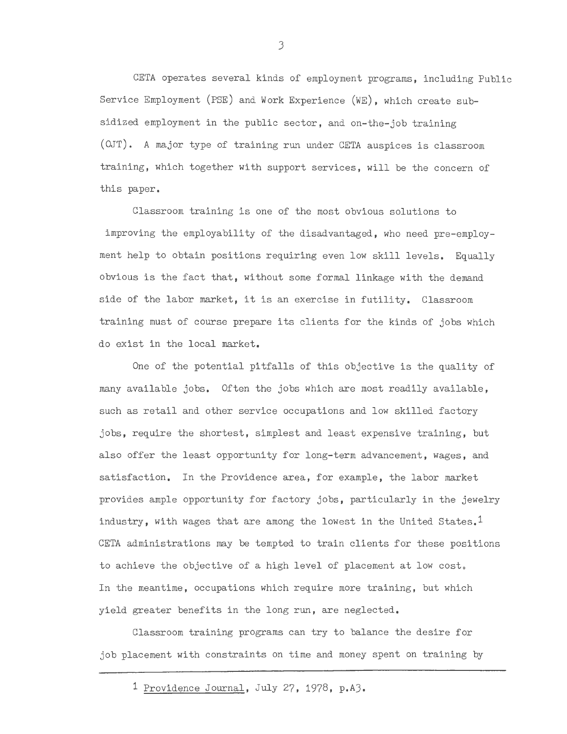CETA operates several kinds of employment programs, including Public Service Employment (PSE) and Work Experience (WE), which create subsidized employment in the public sector, and on-the-job training ( OJT). A major type of training run under CETA auspices is classroom training, which together with support services, will be the concern of this paper.

Classroom training is one of the most obvious solutions to improving the employability of the disadvantaged, who need pre-employment help to obtain positions requiring even low skill levels. Equally obvious is the fact that, without some formal linkage with the demand side of the labor market, it is an exercise in futility. Classroom training must of course prepare its clients for the kinds of jobs which do exist in the local market.

One of the potential pitfalls of this objective is the quality of many available jobs. Often the jobs which are most readily available, such as retail and other service occupations and low skilled factory jobs, require the shortest, simplest and least expensive training, but also offer the least opportunity for long-term advancement, wages, and satisfaction. In the Providence area, for example, the labor market provides ample opportunity for factory jobs, particularly in the jewelry industry, with wages that are among the lowest in the United States.<sup>1</sup> CETA administrations may be tempted to train clients for these positions to achieve the objective of a high level of placement at low cost. In the meantime, occupations which require more training, but which yield greater benefits in the long run, are neglected.

Classroom training programs can try to balance the desire for job placement with constraints on time and money spent on training by

<sup>1</sup> Providence Journal, July 27, 1978, p.AJ.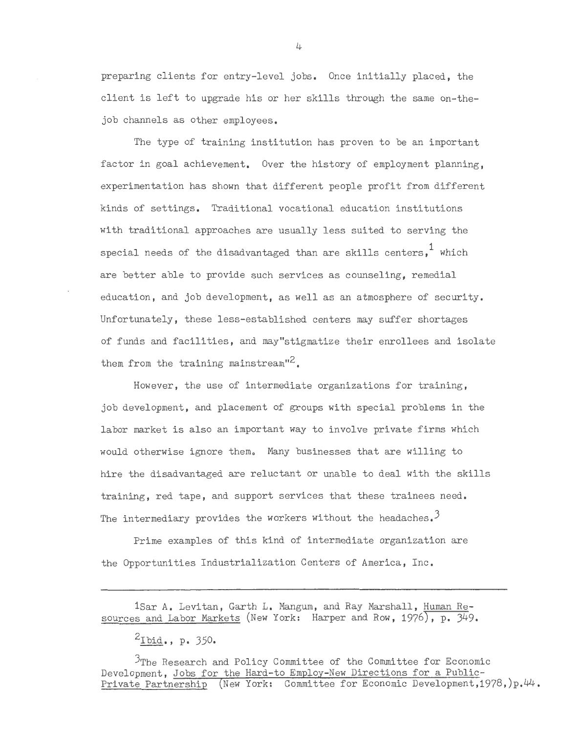preparing clients for entry-level jobs. Once initially placed, the client is left to upgrade his or her skills through the same on-thejob channels as other employees.

The type of training institution has proven to be an important factor in goal achievement. Over the history of employment planning, experimentation has shown that different people profit from different kinds of settings. Traditional vocational education institutions with traditional approaches are usually less suited to serving the special needs of the disadvantaged than are skills centers.<sup>1</sup> which are better able to provide such services as counseling, remedial education, and job development, as well as an atmosphere of security. Unfortunately, these less-established centers may suffer shortages of funds and facilities, and may"stigmatize their enrollees and isolate them from the training mainstream"<sup>2</sup>.

However, the use of intermediate organizations for training, job development, and placement of groups with special problems in the labor market is also an important way to involve private firms which would otherwise ignore them. Many businesses that are willing to hire the disadvantaged are reluctant or unable to deal with the skills training, red tape, and support services that these trainees need. The intermediary provides the workers without the headaches.<sup>3</sup>

Prime examples of this kind of intermediate organization are the Opportunities Industrialization Centers of America, Inc.

 $2$ Ibid., p. 350.

3The Research and Policy Committee of the Committee for Economic Development, Jobs for the Hard-to Employ-New Directions for a Public-Private Partnership (New York: Committee for Economic Development, 1978, )p. 44.

<sup>1</sup>Sar A. Levitan, Garth L. Mangum, and Ray Marshall, Human Resources and Labor Markets (New York: Harper and Row, 1976), p. 349.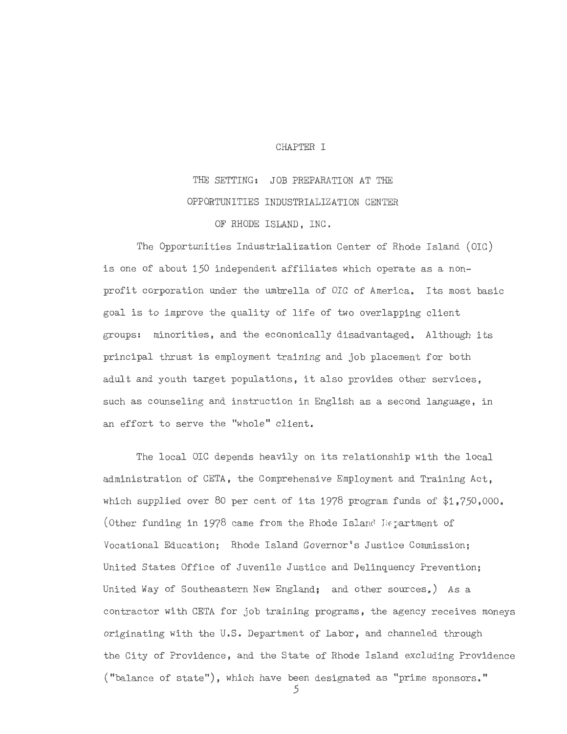#### CHAPTER I

THE SETTING: JOB PREPARATION AT THE OPPORTUNITIES INDUSTRIALIZATION CENTER OF RHODE ISLAND, INC.

The Opportunities Industrialization Center of Rhode Island (OIC) is one of about 150 independent affiliates which operate as a nonprofit corporation under the umbrella of OIC of America. Its most basic goal is to improve the quality of life of two overlapping client groups: minorities, and the economically disadvantaged. Although its principal thrust is employment training and job placement for both adult and youth target populations, it also provides other services, such as counseling and instruction in English as a second language, in an effort to serve the "whole" client.

The local OIC depends heavily on its relationship with the local administration of CETA, the Comprehensive Employment and Training Act, which supplied over 80 per cent of its 1978 program funds of \$1,750,000. (Other funding in 1978 came from the Rhode Island Department of Vocational Education; Rhode Island Governor's Justice Commission; United States Office of Juvenile Justice and Delinquency Prevention; United Way of Southeastern New England; and other sources.) As a contractor with CETA for job training programs, the agency receives moneys originating with the U.S. Department of Labor, and channeled through the City of Providence, and the State of Rhode Island excluding Providence ("balance of state"), which have been designated as "prime sponsors."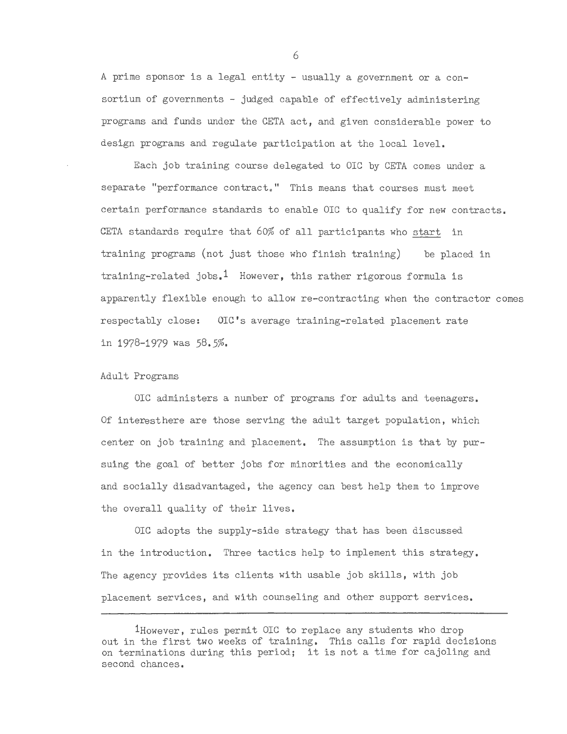A prime sponsor is a legal entity - usually a government or a consortium of governments - judged capable of effectively administering programs and funds under the CETA act, and given considerable power to design programs and regulate participation at the local level.

Each job training course delegated to OIC by CETA comes under a separate "performance contract." This means that courses must meet certain performance standards to enable OIC to qualify for new contracts. CETA standards require that 60% of all participants who start in training programs (not just those who finish training) be placed in training-related jobs.<sup>1</sup> However, this rather rigorous formula is apparently flexible enough to allow re-contracting when the contractor comes respectably close: OIC's average training-related placement rate in 1978-1979 was *58.5%.* 

#### Adult Programs

OIC administers a number of programs for adults and teenagers. Of interesthere are those serving the adult target population, which center on job training and placement. The assumption is that by pursuing the goal of better jobs for minorities and the economically and socially disadvantaged, the agency can best help them to improve the overall quality of their lives.

OIC adopts the supply-side strategy that has been discussed in the introduction. Three tactics help to implement this strategy. The agency provides its clients with usable job skills, with job placement services, and with counseling and other support services.

<sup>1</sup>However, rules permit OIC to replace any students who drop out in the first two weeks of training. This calls for rapid decisions on terminations during this period; it is not a time for cajoling and second chances.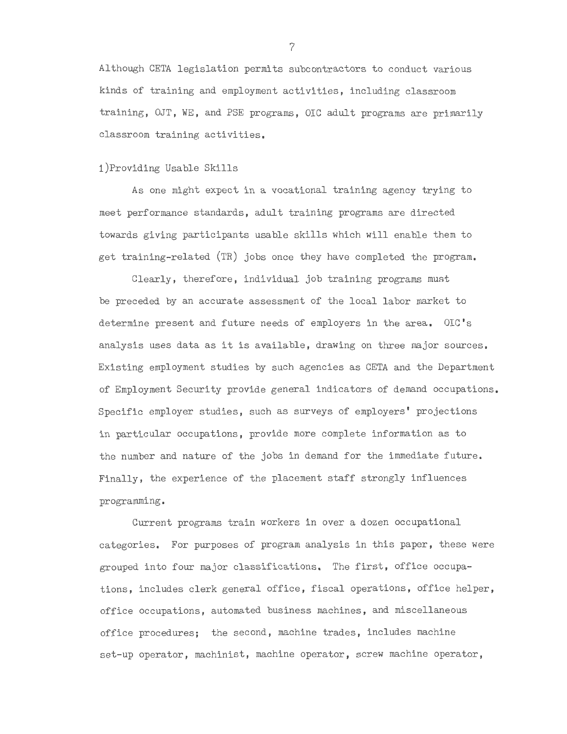Although CETA legislation permits subcontractors to conduct various kinds of training and employment activities, including classroom training, OJT, WE, and PSE programs, OIC adult programs are primarily classroom training activities.

#### i)Providing Usable Skills

As one might expect in a vocational training agency trying to meet performance standards, adult training programs are directed towards giving participants usable skills which will enable them to get training-related (TR) jobs once they have completed the program.

Clearly, therefore, individual job training programs must be preceded by an accurate assessment of the local labor market to determine present and future needs of employers in the area. OIC's analysis uses data as it is available, drawing on three major sources. Existing employment studies by such agencies as CETA and the Department of Employment Security provide general indicators of demand occupations. Specific employer studies, such as surveys of employers' projections in particular occupations, provide more complete information as to the number and nature of the jobs in demand for the immediate future. Finally, the experience of the placement staff strongly influences programming.

Current programs train workers in over a dozen occupational categories. For purposes of program analysis in this paper, these were grouped into four major classifications. The first, office occupations, includes clerk general office, fiscal operations, office helper, office occupations, automated business machines, and miscellaneous office procedures; the second, machine trades, includes machine set-up operator, machinist, machine operator, screw machine operator,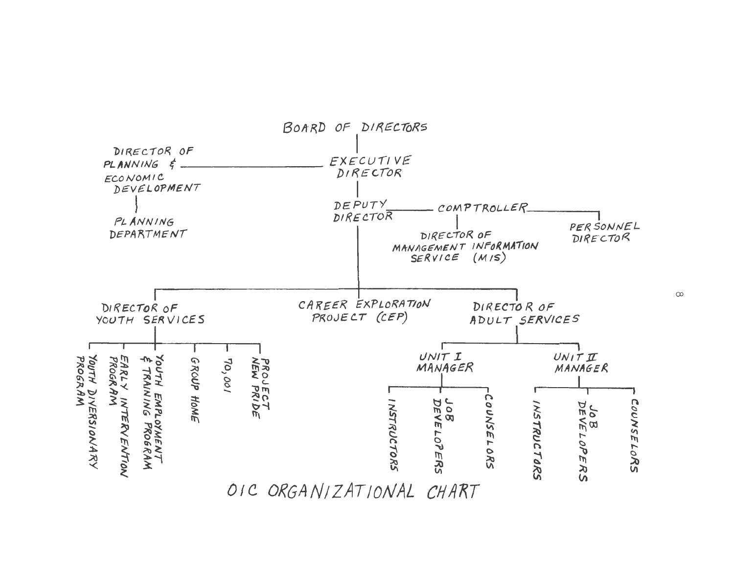

co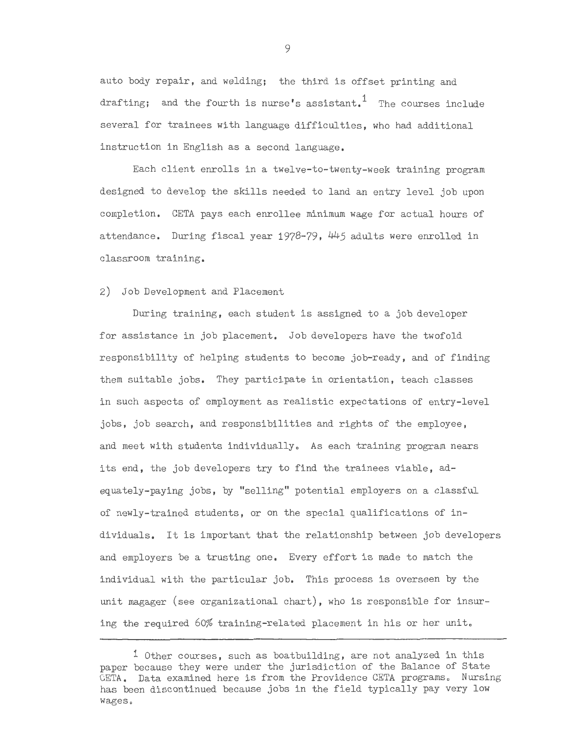auto body repair, and welding; the third is offset printing and drafting; and the fourth is nurse's assistant.<sup>1</sup> The courses include several for trainees with language difficulties, who had additional instruction in English as a second language.

Each client enrolls in a twelve-to-twenty-week training program designed to develop the skills needed to land an entry level job upon completion. CETA pays each enrollee minimum wage for actual hours of attendance. During fiscal year 1978-79, 445 adults were enrolled in classroom training.

2) Job Development and Placement

During training, each student is assigned to a job developer for assistance in job placement. Job developers have the twofold responsibility of helping students to become job-ready, and of finding them suitable jobs. They participate in orientation, teach classes in such aspects of employment as realistic expectations of entry-level jobs, job search, and responsibilities and rights of the employee, and meet with students individually. As each training program nears its end, the job developers try to find the trainees viable, adequately-paying jobs, by "selling" potential employers on a classful of newly-trained students, or on the special qualifications of individuals. It is important that the relationship between job developers and employers be a trusting one. Every effort is made to match the individual with the particular job. This process is overseen by the unit magager (see organizational chart), who is responsible for insuring the required 60% training-related placement in his or her unit.

<sup>1</sup> Other courses, such as boatbuilding, are not analyzed in this paper because they were under the jurisdiction of the Balance of State CETA. Data examined here is from the Providence CETA programs. Nursing has been discontinued because jobs in the field typically pay very low wages.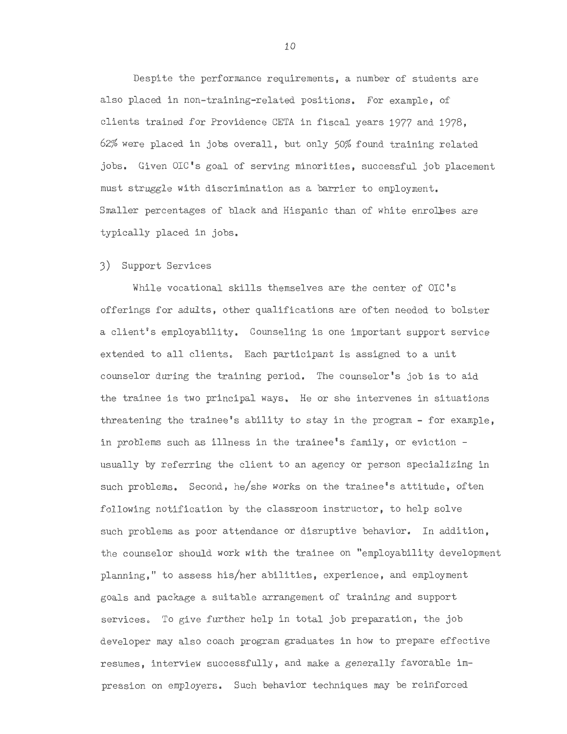Despite the performance requirements, a number of students are also placed in non-training-related positions. For example, of clients trained for Providence CETA in fiscal years 1977 and 1978, 62% were placed in jobs overall, but only *50%* found training related jobs. Given OIC's goal of serving minorities, successful job placement must struggle with discrimination as a barrier to employment. Smaller percentages of black and Hispanic than of white enrolees are typically placed in jobs.

3) Support Services

While vocational skills themselves are the center of OIC's offerings for adults, other qualifications are often needed to bolster a client's employability. Counseling is one important support service extended to all clients. Each participant is assigned to a unit counselor during the training period. The counselor's job is to aid the trainee is two principal ways. He or she intervenes in situations threatening the trainee's ability to stay in the program - for example, in problems such as illness in the trainee's family, or eviction usually by referring the client to an agency or person specializing in such problems. Second, he/she works on the trainee's attitude, often following notification by the classroom instructor, to help solve such problems as poor attendance or disruptive behavior. In addition, the counselor should work with the trainee on "employability development planning," to assess his/her abilities, experience, and employment goals and package a suitable arrangement of training and support services. To give further help in total job preparation, the job developer may also coach program graduates in how to prepare effective resumes, interview successfully, and make a generally favorable impression on employers. Such behavior techniques may be reinforced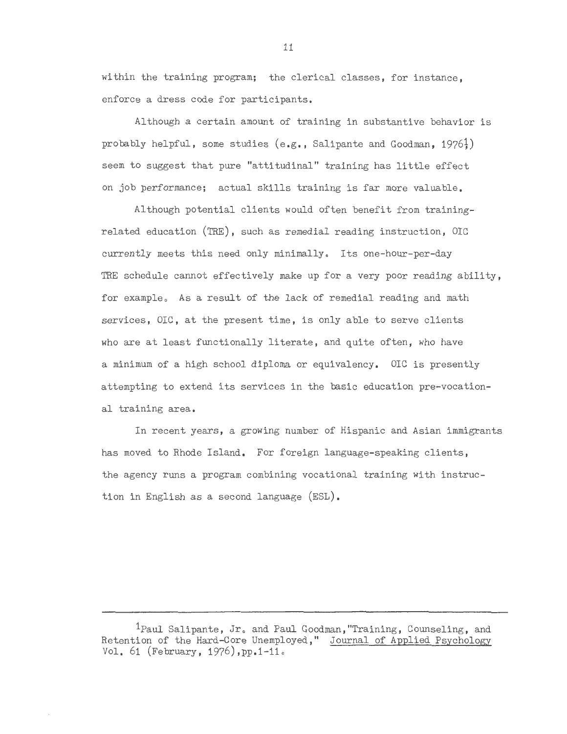within the training program; the clerical classes, for instance, enforce a dress code for participants.

Although a certain amount of training in substantive behavior is probably helpful, some studies  $(e, g, g)$ . Salipante and Goodman, 1976<sup>1</sup>) seem to suggest that pure "attitudinal" training has little effect on job performance; actual skills training is far more valuable.

Although potential clients would often benefit from trainingrelated education (TRE), such as remedial reading instruction, OIC currently meets this need only minimally. Its one-hour-per-day TRE schedule cannot effectively make up for a very poor reading ability, for example. As a result of the lack of remedial reading and math services, OIC, at the present time, is only able to serve clients who are at least functionally literate, and quite often, who have a minimum of a high school diploma or equivalency. OIC is presently attempting to extend its services in the basic education pre-vocational training area.

In recent years, a growing number of Hispanic and Asian immigrants has moved to Rhode Island. For foreign language-speaking clients, the agency runs a program combining vocational training with instruction in English as a second language (ESL).

<sup>&</sup>lt;sup>1</sup>Paul Salipante, Jr. and Paul Goodman, "Training, Counseling, and Retention of the Hard-Core Unemployed," Journal of Applied Psychology Vol. 61 (February, 1976), pp. 1-11.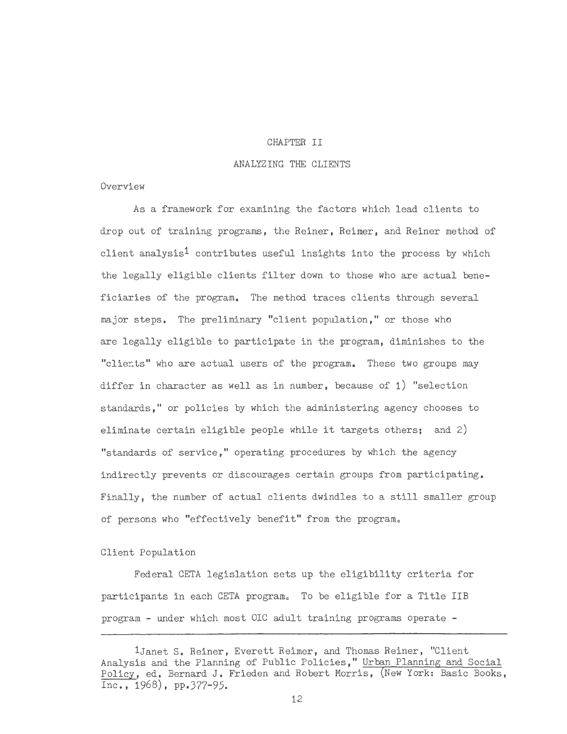#### CHAPTER II

#### ANALYZING THE CLIENTS

#### Overview

As a framework for examining the factors which lead clients to drop out of training programs, the Reiner, Reimer, and Reiner method of client analysis<sup>1</sup> contributes useful insights into the process by which the legally eligible clients filter down to those who are actual beneficiaries of the program. The method traces clients through several major steps. The preliminary "client population," or those who are legally eligible to participate in the program, diminishes to the "clients" who are actual users of the program. These two groups may differ in character as well as in number, because of 1) "selection standards," or policies by which the administering agency chooses to eliminate certain eligible people while it targets others; and 2) "standards of service," operating procedures by which the agency indirectly prevents or discourages certain groups from participating. Finally, the number of actual clients dwindles to a still smaller group of persons who "effectively benefit" from the program.

# Client Population

Federal CETA legislation sets up the eligibility criteria for participants in each CETA program. To be eligible for a Title IIB program - under which most OIC adult training programs operate -

<sup>1</sup>Janet S. Reiner, Everett Reimer, and Thomas Reiner, "Client Analysis and the Planning of Public Policies," Urban Planning and Social Policy, ed. Bernard J. Frieden and Robert Morris, (New York: Basic Books, Inc., 1968), pp.377-95.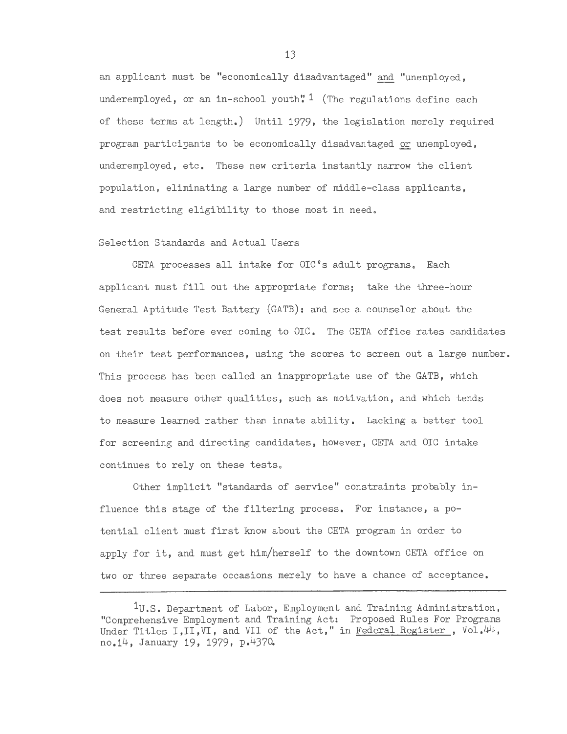an applicant must be "economically disadvantaged" and "unemployed, underemployed, or an in-school youth"<sup>1</sup> (The regulations define each of these terms at length.) Until 1979, the legislation merely required program participants to be economically disadvantaged or unemployed, underemployed, etc. These new criteria instantly narrow the client population, eliminating a large number of middle-class applicants, and restricting eligibility to those most in need.

#### Selection Standards and Actual Users

CETA processes all intake for  $OIC$ <sup>8</sup>s adult programs. Each applicant must fill out the appropriate forms; take the three-hour General Aptitude Test Battery (GATB): and see a counselor about the test results before ever coming to OIC. The CETA office rates candidates on their test performances, using the scores to screen out a large number. This process has been called an inappropriate use of the GATB, which does not measure other qualities, such as motivation, and which tends to measure learned rather than innate ability. Lacking a better tool for screening and directing candidates, however, CETA and OIC intake continues to rely on these tests.

Other implicit "standards of service" constraints probably influence this stage of the filtering process. For instance, a potential client must first know about the CETA program in order to apply for it, and must get him/herself to the downtown CETA office on two or three separate occasions merely to have a chance of acceptance.

 $1_{\text{U.S.}}$  Department of Labor, Employment and Training Administration, "Comprehensive Employment and Training Act: Proposed Rules For Programs Under Titles I, II, VI, and VII of the Act," in Federal Register, Vol.44, no.14, January 19, 1979, p.4370.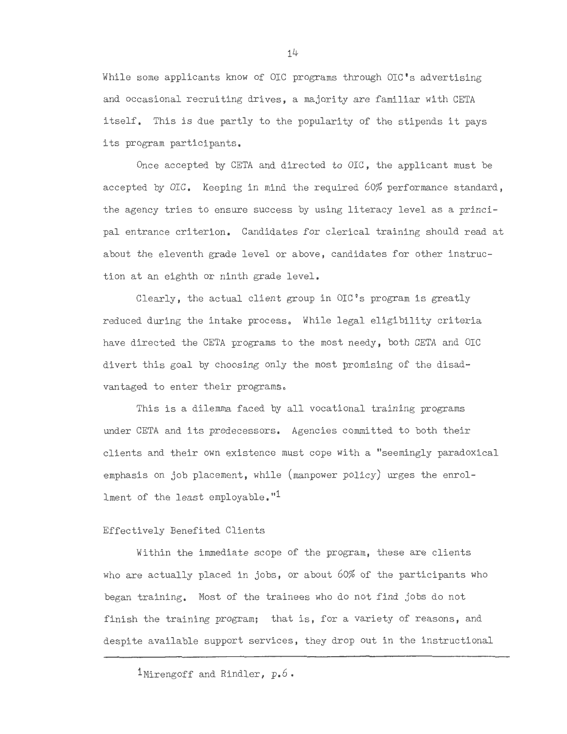While some applicants know of OIC programs through OIC's advertising and occasional recruiting drives, a majority are familiar with CETA itself. This is due partly to the popularity of the stipends it pays its program participants.

Once accepted by CETA and directed to DIC, the applicant must be accepted by OIG. Keeping in mind the required 60% performance standard, the agency tries to ensure success by using literacy level as a principal entrance criterion. Candidates for clerical training should read at about the eleventh grade level or above, candidates for other instruction at an eighth or ninth grade level.

Clearly, the actual client group in  $OIC$ <sup> $\circ$ </sup>s program is greatly reduced during the intake process. While legal eligibility criteria have directed the CETA programs to the most needy, both CETA and OIC divert this goal by choosing only the most promising of the disadvantaged to enter their programs.

This is a dilemma faced by all vocational training programs under CETA and its predecessors. Agencies committed to both their clients and their own existence must cope with a "seemingly paradoxical emphasis on job placement, while (manpower policy) urges the enrollment of the least employable."1

# Effectively Benefited Clients

Within the immediate scope of the program, these are clients who are actually placed in jobs, or about 60% of the participants who began training. Most of the trainees who do not find jobs do not finish the training program; that is, for a variety of reasons, and despite available support services, they drop out in the instructional

<sup>1</sup>Mirengoff and Rindler, p.6.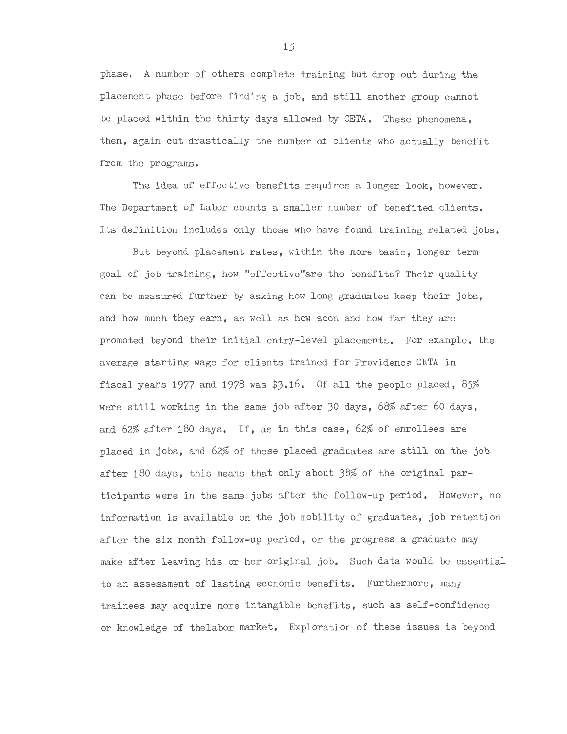phase, A number of others complete training but drop out during the placement phase before finding a job, and still another group cannot be placed within the thirty days allowed by CETA, These phenomena, then, again cut drastically the number of clients who actually benefit from the programs,

The idea of effective benefits requires a longer look, however, The Department of Labor counts a smaller number of benefited clients, Its definition includes only those who have found training related jobs,

But beyond placement rates, within the more basic, longer term goal of job training, how "effective"are the benefits? Their quality can be measured further by asking how long graduates keep their jobs, and how much they earn, as well as how soon and how far they are promoted beyond their initial entry-level placements, For example, the average starting wage for clients trained for Providence CETA in fiscal years 1977 and 1978 was \$3.160 Of all the people placed, *85%*  were still working in the same job after 30 days, 68% after 60 days, and 62% after 180 days, If, as in this case, 62% of enrollees are placed in jobs, and 62% of these placed graduates are still on the job after 180 days, this means that only about 38% of the original participants were in the same jobs after the follow-up period, However, no information is available on the job mobility of graduates, job retention after the six month follow-up period, or the progress a graduate may make after leaving his or her original job, Such data would be essential to an assessment of lasting economic benefits, Furthermore, many trainees may acquire more intangible benefits, such as self-confidence or knowledge of thelabor market, Exploration of these issues is beyond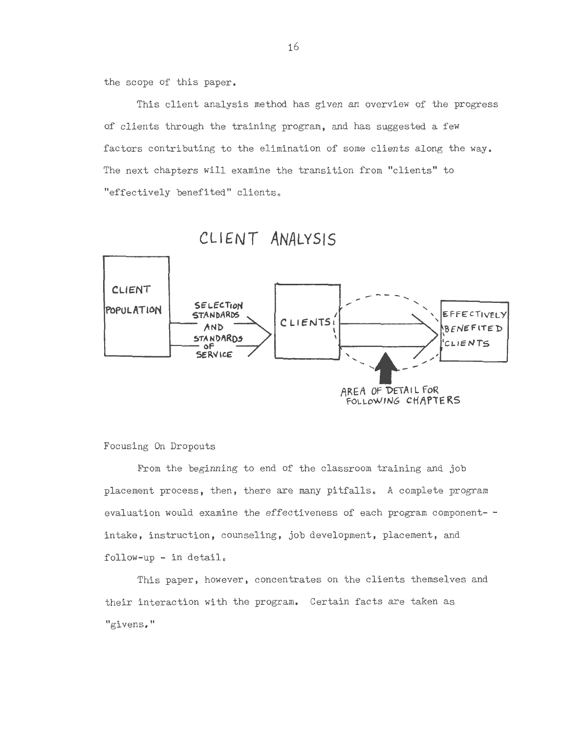the scope of this paper.

This client analysis method has given an overview of the progress of clients through the training program, and has suggested a few factors contributing to the elimination of some clients along the way . The next chapters will examine the transition from "clients" to "effectively benefited" clients.





# Focusing On Dropouts

From the beginning to end of the classroom training and job placement process, then, there are many pitfalls. A complete program evaluation would examine the effectiveness of each program component- intake, instruction, counseling, job development, placement, and  $follow-up - in detail.$ 

This paper, however, concentrates on the clients themselves and their interaction with the program. Certain facts are taken as "givens."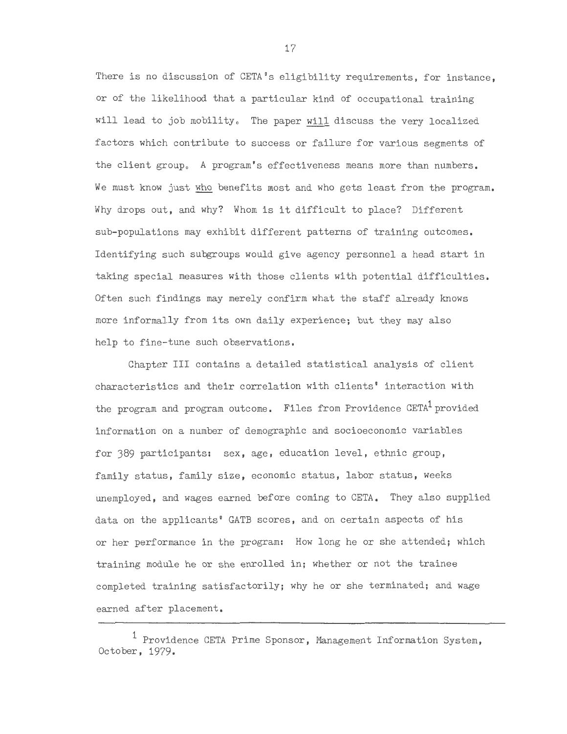There is no discussion of CETA's eligibility requirements, for instance. or of the likelihood that a particular kind of occupational training will lead to job mobility. The paper will discuss the very localized factors which contribute to success or failure for various segments of the client group. A program's effectiveness means more than numbers. We must know just who benefits most and who gets least from the program. Why drops out, and why? Whom is it difficult to place? Different sub-populations may exhibit different patterns of training outcomes. Identifying such subgroups would give agency personnel a head start in taking special measures with those clients with potential difficulties. Often such findings may merely confirm what the staff already knows more informally from its own daily experience; but they may also help to fine-tune such observations.

Chapter III contains a detailed statistical analysis of client characteristics and their correlation with clients' interaction with the program and program outcome. Files from Providence  $CETA<sup>1</sup>$  provided information on a number of demographic and socioeconomic variables for 389 participants: sex, age, education level, ethnic group, family status, family size, economic status, labor status, weeks unemployed, and wages earned before coming to CETA. They also supplied data on the applicants' GATB scores, and on certain aspects of his or her performance in the program: How long he or she attended; which training module he or she enrolled in; whether or not the trainee completed training satisfactorily; why he or she terminated; and wage earned after placement.

<sup>&</sup>lt;sup>1</sup> Providence CETA Prime Sponsor, Management Information System, October, 1979.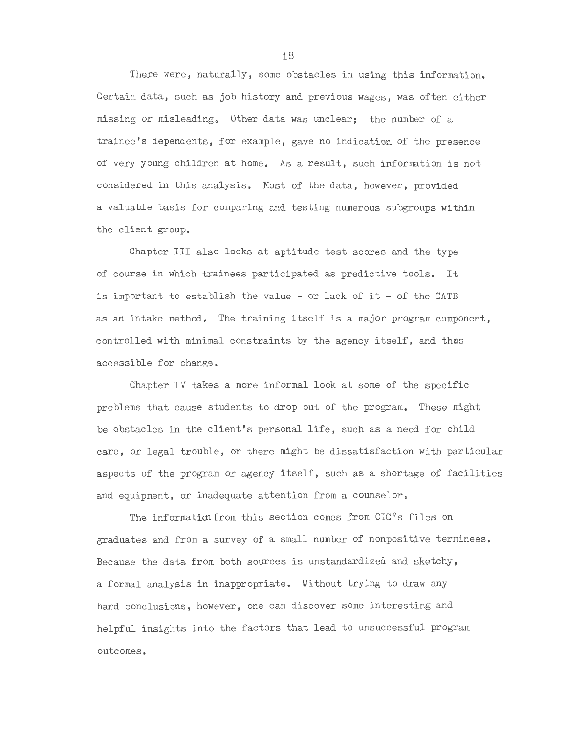There were, naturally, some obstacles in using this information. Certain data, such as job history and previous wages, was often either missing or misleading, Other data was unclear; the number of a trainee's dependents, for example, gave no indication of the presence of very young children at home. As a result, such information is not considered in this analysis. Most of the data, however, provided a valuable basis for comparing and testing numerous subgroups within the client group.

Chapter III also looks at aptitude test scores and the type of course in which trainees participated as predictive tools. It is important to establish the value - or lack of it - of the GATB as an intake method. The training itself is a major program component, controlled with minimal constraints by the agency itself, and thus accessible for change.

Chapter IV takes a more informal look at some of the specific problems that cause students to drop out of the program. These might be obstacles in the client's personal life, such as a need for child care, or legal trouble, or there might be dissatisfaction with particular aspects of the program or agency itself, such as a shortage of facilities and equipment, or inadequate attention from a counselor.

The information from this section comes from OIC's files on graduates and from a survey of a small number of nonpositive terminees. Because the data from both sources is unstandardized and sketchy, a formal analysis in inappropriate. Without trying to draw any hard conclusions, however, one can discover some interesting and helpful insights into the factors that lead to unsuccessful program outcomes.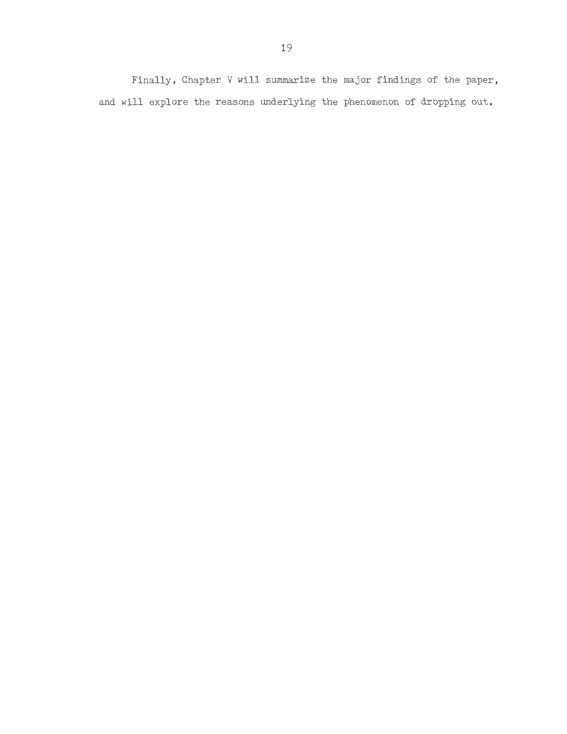Finally, Chapter V will summarize the major findings of the paper, and **will** explore the reasons underlying the phenomenon of dropping out.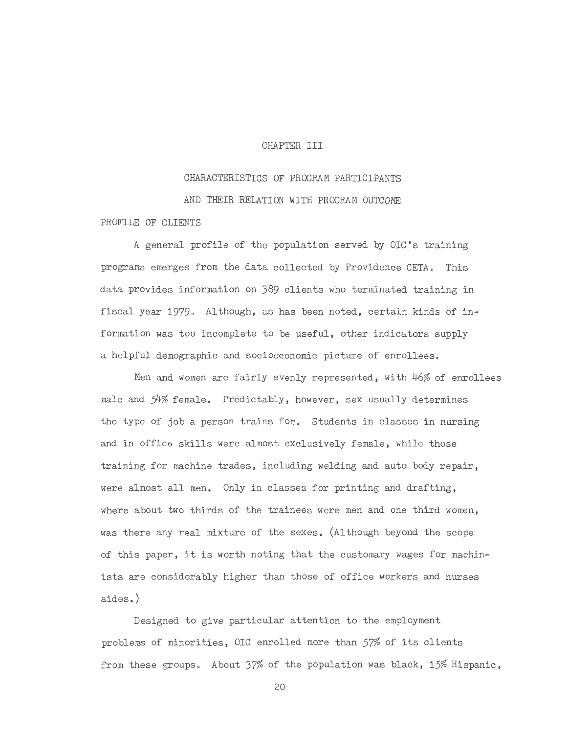#### CHAPTER III

# CHARACTERISTICS OF PROGRAM PARTICIPANTS AND THEIR RELATION WITH PROGRAM OUTCOME

# PROFILE OF CLIENTS

A general profile of the population served by OIC's training programs emerges from the data collected by Providence CETA. This data provides information on 389 clients who terminated training in fiscal year 1979. Although, as has been noted, certain kinds of information was too incomplete to be useful, other indicators supply a helpful demographic and socioeconomic picture of enrollees.

Men and women are fairly evenly represented, with 46% of enrollees male and 54% female. Predictably, however, sex usually determines the type of job a person trains for. Students in classes in nursing and in office skills were almost exclusively female, while those training for machine trades, including welding and auto body repair, were almost all men. Only in classes for printing and drafting, where about two thirds of the trainees were men and one third women, was there any real mixture of the sexes. (Although beyond the scope of this paper, it is worth noting that the customary wages for machinists are considerably higher than those of office workers and nurses aides.)

Designed to give particular attention to the employment problems of minorities, OIC enrolled more than  $57\%$  of its clients from these groups. About 37% of the population was black, 15% Hispanic,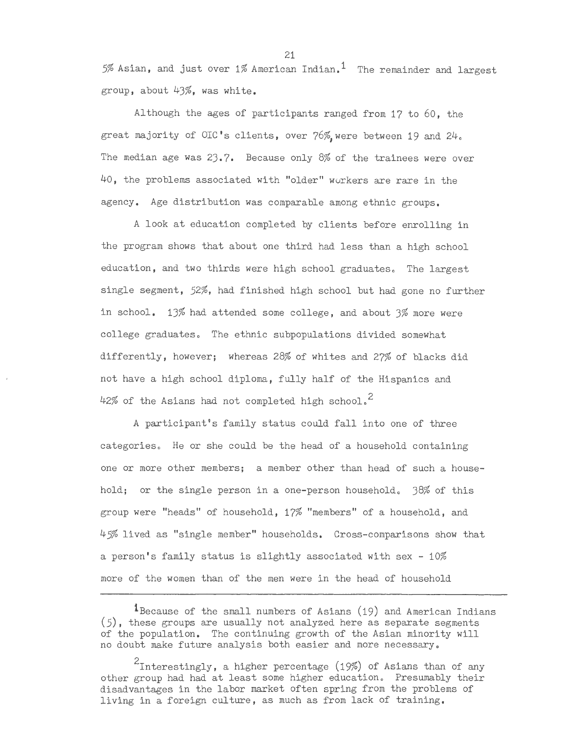5% Asian, and just over 1% American Indian.<sup>1</sup> The remainder and largest group, about 43%, was white.

Although the ages of participants ranged from 17 to 60, the great majority of OIC's clients, over 76%, were between 19 and 24. The median age was 23.7. Because only 8% of the trainees were over 40, the problems associated with "older" workers are rare in the agency. Age distribution was comparable among ethnic groups.

A look at education completed by clients before enrolling in the program shows that about one third had less than a high school education, and two thirds were high school graduates. The largest single segment,  $52\%$ , had finished high school but had gone no further in school. 13% had attended some college, and about 3% more were college graduates. The ethnic subpopulations divided somewhat differently, however; whereas 28% of whites and 27% of blacks did not have a high school diploma, fully half of the Hispanics and 42% of the Asians had not completed high school.<sup>2</sup>

A participant's family status could fall into one of three categories. He or she could be the head of a household containing one or more other members; a member other than head of such a household; or the single person in a one-person household. 38% of this group were "heads" of household, 17% "members" of a household, and 45% lived as "single member" households. Cross-comparisons show that a person's family status is slightly associated with sex  $-10\%$ more of the women than of the men were in the head of household

<sup>1</sup>Because of the small numbers of Asians (19) and American Indians (5), these groups are usually not analyzed here as separate segments of the population. The continuing growth of the Asian minority will no doubt make future analysis both easier and more necessary.

 $2_{\texttt{Interestingly, a higher percentage (19\%)}$  of Asians than of any other group had had at least some higher education. Presumably their disadvantages in the labor market often spring from the problems of living in a foreign culture, as much as from lack of training.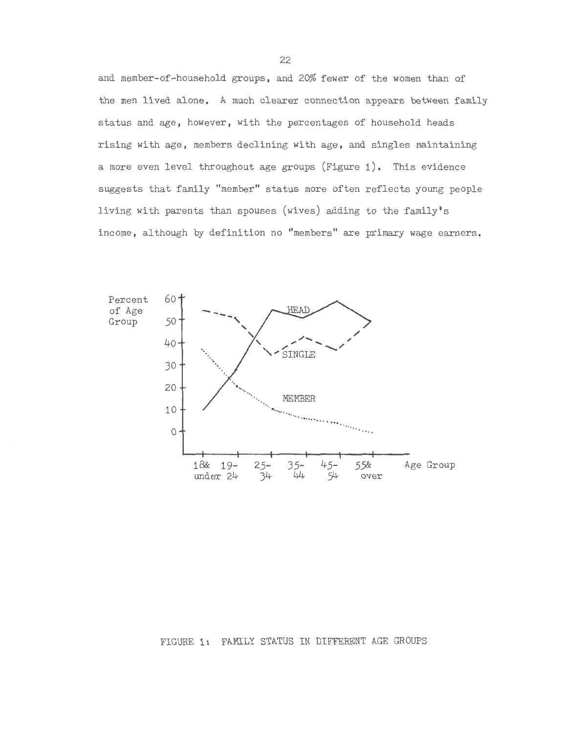and member-of-household groups, and 20% fewer of the women than of the men lived alone. A much clearer connection appears between family status and age, however, with the percentages of household heads rising with age, members declining with age, and singles maintaining a more even level throughout age groups (Figure 1). This evidence suggests that family "member" status more often reflects young people living with parents than spouses (wives) adding to the family's income, although by definition no "members" are primary wage earners.

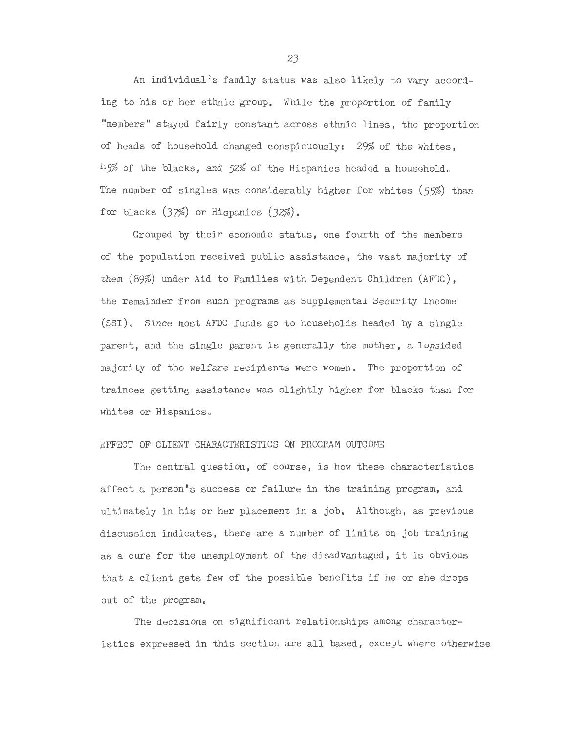An individual's family status was also likely to vary according to his or her ethnic group, While the proportion of family "members" stayed fairly constant across ethnic lines, the proportion of heads of household changed conspicuously: 29% of the whites, 45% of the blacks, and 52% of the Hispanics headed a household. The number of singles was considerably higher for whites (55%) than for blacks (37%) or Hispanics (32%),

Grouped by their economic status, one fourth of the members of the population received public assistance, the vast majority of them (89%) under Aid to Families with Dependent Children (AFDC), the remainder from such programs as Supplemental Security Income (SSI). Since most AFDC funds go to households headed by a single parent, and the single parent is generally the mother, a lopsided majority of the welfare recipients were women. The proportion of trainees getting assistance was slightly higher for blacks than for whites or Hispanics.

#### EFFECT OF CLIENT CHARACTERISTICS ON PROGRAM OUTCOME

The central question, of course, is how these characteristics affect a person°s success or failure in the training program, and ultimately in his or her placement in a job, Although, as previous discussion indicates, there are a number of limits on job training as a cure for the unemployment of the disadvantaged, it is obvious that a client gets few of the possible benefits if he or she drops out of the program.

The decisions on significant relationships among characteristics expressed in this section are all based, except where otherwise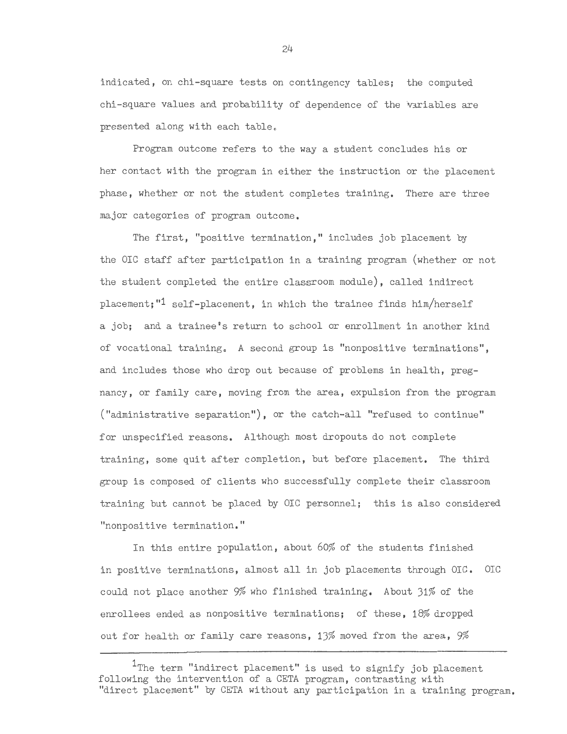indicated, on chi-square tests on contingency tables; the computed chi-square values and probability of dependence of the variables are  $presented$  along with each table.

Program outcome refers to the way a student concludes his or her contact with the program in either the instruction or the placement phase, whether or not the student completes training. There are three major categories of program outcome.

The first, "positive termination," includes job placement by the OIC staff after participation in a training program (whether or not the student completed the entire classroom module), called indirect placement;"1 self-placement, in which the trainee finds him/herself a job; and a trainee's return to school or enrollment in another kind of vocational training. A second group is "nonpositive terminations", and includes those who drop out because of problems in health, pregnancy, or family care, moving from the area, expulsion from the program ("administrative separation"), or the catch-all "refused to continue" for unspecified reasons. Although most dropouts do not complete training, some quit after completion, but before placement. The third group is composed of clients who successfully complete their classroom training but cannot be placed by OIC personnel; this is also considered "nonpositive termination."

In this entire population, about 60% of the students finished in positive terminations, almost all in job placements through OIC. OIC could not place another 9% who finished training. About 31% of the enrollees ended as nonpositive terminations; of these, 18% dropped out for health or family care reasons,  $13\%$  moved from the area,  $9\%$ 

<sup>&</sup>lt;sup>1</sup>The term "indirect placement" is used to signify job placement following the intervention of a CETA program, contrasting with "direct placement" by CETA without any participation in a training program.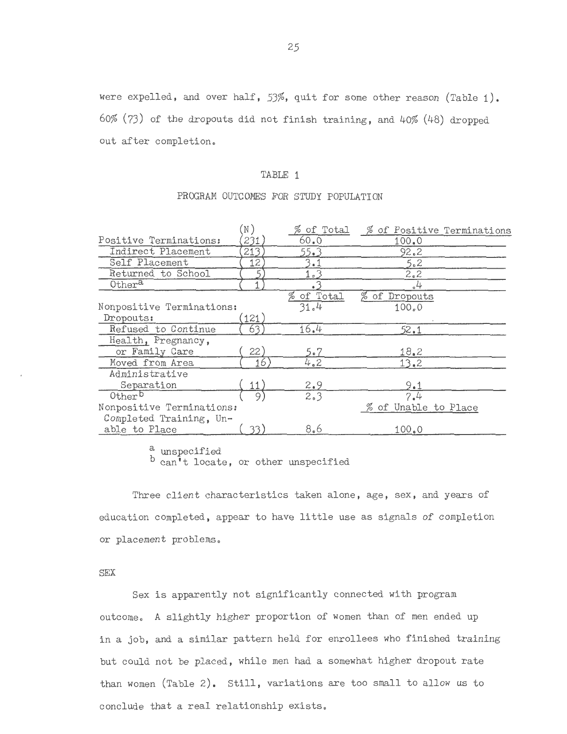#### TABLE 1

#### PROGRAM OUTCOMES FOR STUDY POPULATION

|                           | $\left(\mathbb{N}\right)$ | $\%$ of Total | % of Positive Terminations |
|---------------------------|---------------------------|---------------|----------------------------|
| Positive Terminations:    | 231                       | 60.0          | 100.0                      |
| Indirect Placement        | 213                       | 55.3          | 92.2                       |
| Self Placement            | 12.                       | 3.1           | 5.2                        |
| Returned to School        |                           | 1.3           | 2.2                        |
| Othera                    |                           |               | $\alpha$ <sup>4</sup>      |
|                           |                           | % of Total    | % of Dropouts              |
| Nonpositive Terminations: |                           | 31.4          | 100.0                      |
| Dropouts:                 | (121)                     |               |                            |
| Refused to Continue       | 63                        | 16.4          | 52.1                       |
| Health, Pregnancy,        |                           |               |                            |
| or Family Care            | 22)                       | 5.7           | 18.2                       |
| Moved from Area           | 16.                       | 4.2           | 13.2                       |
| Administrative            |                           |               |                            |
| Separation                | 11)                       | 2.9           | 9.1                        |
| Other <sup>b</sup>        |                           | 2.3           | 7.4                        |
| Nonpositive Terminations: |                           |               | % of Unable to Place       |
| Completed Training, Un-   |                           |               |                            |
| able to Place             | 33.                       | 8.6           | 100.0                      |

a unspecified

b can't locate, or other unspecified

Three client characteristics taken alone, age, sex, and years of education completed, appear to have little use as signals of completion or placement problems.

#### SEX

Sex is apparently not significantly connected with program outcome. *A* slightly higher proportion of women than of men ended up in a job, and a similar pattern held for enrollees who finished training but could not be placed, while men had a somewhat higher dropout rate than women (Table 2). Still, variations are too small to allow us to conclude that a real relationship exists.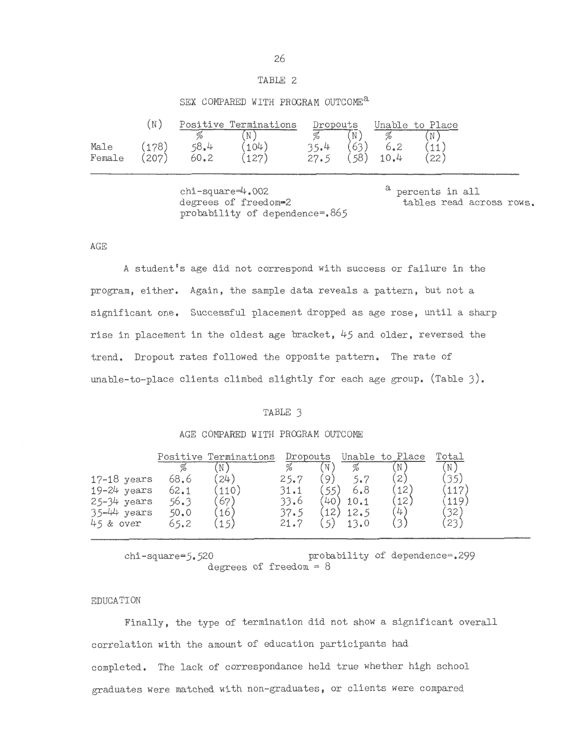#### TABLE 2

#### SEX COMPARED WITH PROGRAM OUTCOME<sup>a</sup>

|        | $\overline{\mathbb{N}}$ |      | Positive Terminations | Dropouts |            |      | Unable to Place |  |
|--------|-------------------------|------|-----------------------|----------|------------|------|-----------------|--|
|        |                         |      | $\mathbb N$           |          | $\sqrt{N}$ |      |                 |  |
| Male   | (178)                   | 58.4 | (104)                 | 35.4     | (63)       | 6.2  | '11,            |  |
| Female | [207]                   | 60.2 | (127)                 | 27.5     | (58)       | 10.4 | 22)             |  |

chi-square=4.002 degrees of freedom-2 probability of dependence=.865 a percents in all tables read across rows.

AGE

A student's age did not correspond with success or failure in the program, either. Again, the sample data reveals a pattern, but not a significant one. Successful placement dropped as age rose, until a sharp rise in placement in the oldest age bracket, 45 and older, reversed the trend. Dropout rates followed the opposite pattern. The rate of unable-to-place clients climbed slightly for each age group. (Table 3).

#### TABLE 3

#### AGE COMPARED WITH PROGRAM OUTCOME

|                 | Positive | Terminations | Dropouts |             | Unable | to Place     | Total |
|-----------------|----------|--------------|----------|-------------|--------|--------------|-------|
|                 |          |              | %        | 'N          |        |              | N     |
| $17-18$ years   | 68.6     | 24)          | 25.7     | $\mathsf Q$ |        | 2            |       |
| $19-24$ years   | 62.1     | 110          | 31.1     |             | 6.8    | 12           | 117   |
| 25-34 years     | 56.3     | 67           | 33.6     | 40          | 10.1   | 12           | 119   |
| $35 - 44$ years | 50.0     | 16           | 37.5     | 12          | 12.5   | $\downarrow$ | 32    |
| 45 & over       | 65.2     | 15,          | 21.7     |             | 13.0   |              | 23)   |
|                 |          |              |          |             |        |              |       |

chi-square=5.520 probability of dependence=.299 degrees of freedom =  $8$ 

#### EDUCATION

Finally, the type of termination did not show a significant overall correlation with the amount of education participants had completed. The lack of correspondance held true whether high school graduates were matched with non-graduates, or clients were compared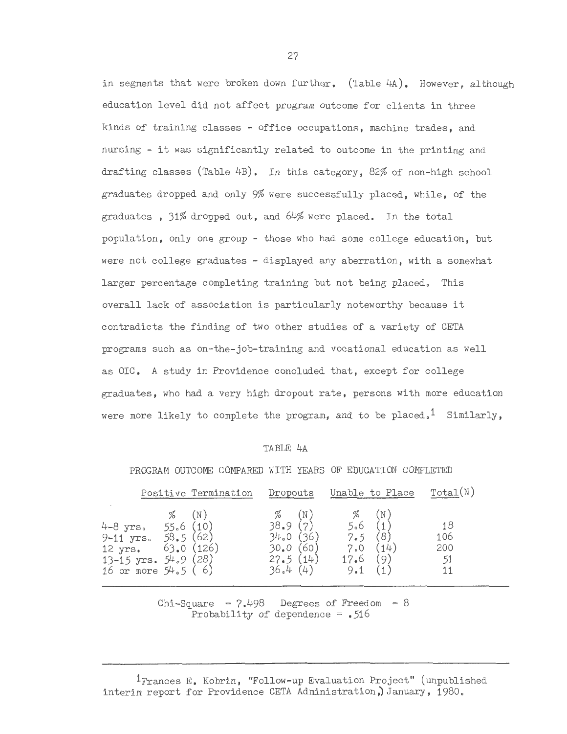in segments that were broken down further. (Table 4A). However. although education level did not affect program outcome for clients in three kinds of training classes - office occupations, machine trades, and nursing - it was significantly related to outcome in the printing and drafting classes (Table 4B). In this category, 82% of non-high school graduates dropped and only 9% were successfully placed, while, of the graduates , 31% dropped out, and 64% were placed. In the total population, only one group - those who had some college education, but were not college graduates - displayed any aberration, with a somewhat larger percentage completing training but not being placed. This overall lack of association is particularly noteworthy because it contradicts the finding of two other studies of a variety of CETA programs such as on-the-job-training and vocational education as well as OIC. A study in Providence concluded that, except for college graduates, who had a very high dropout rate, persons with more education were more likely to complete the program, and to be placed.<sup>1</sup> Similarly.

#### TABLE 4A

|                                                                                               |                       |                      | PROGRAM OUTCOME COMPARED WITH YEARS OF EDUCATION COMPLETED |                                  |             |                                |          |                              |  |
|-----------------------------------------------------------------------------------------------|-----------------------|----------------------|------------------------------------------------------------|----------------------------------|-------------|--------------------------------|----------|------------------------------|--|
|                                                                                               |                       | Positive Termination | Dropouts                                                   |                                  |             | Unable to Place                | Total(N) |                              |  |
| 4-8 yrs.<br>9-11 $yrs. 58.5(62)$<br>12 yrs.<br>13-15 $yrs. 54.9 (28)$<br>16 or more $54.5(6)$ | %<br>55.6(10)<br>63.0 | (N)<br>(126)         |                                                            | 38.9<br>34.0<br>30.0<br>27.5(14) | (N)<br>1361 | %<br>5.6<br>7.5<br>7.0<br>17.6 | 14       | 18<br>106<br>200<br>51<br>11 |  |

PROC.RAM OUTCOME COMPARED WITH YEARS OF EDUCATION COMPLETED

Chi-Square =  $7.498$  Degrees of Freedom = 8 Probability of dependence  $=$  .516

1Frances E. Kobrin, "Follow-up Evaluation Project" (unpublished interim report for Providence CETA Administration,) January, 1980.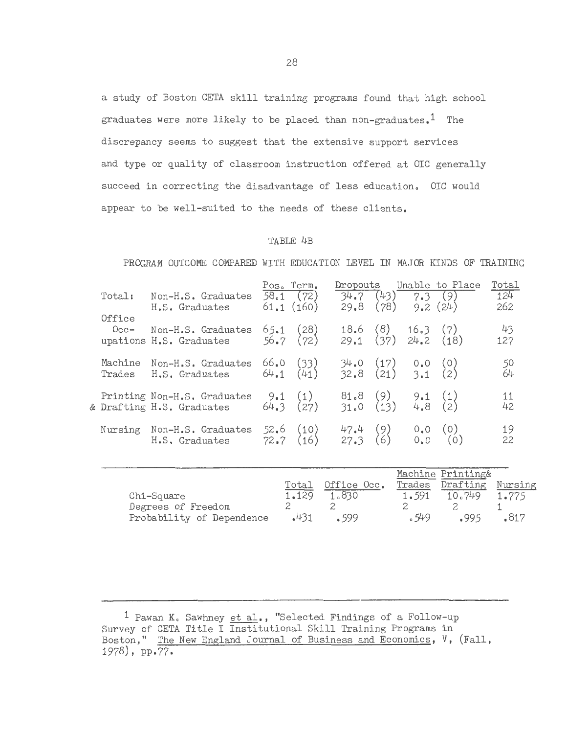a study of Boston CETA skill training programs found that high school graduates were more likely to be placed than non-graduates.<sup>1</sup> The discrepancy seems to suggest that the extensive support services and type or quality of classroom instruction offered at OIC generally succeed in correcting the disadvantage of less education. OIC would appear to be well-suited to the needs of these clients.

#### TABLE 4B

PROGRAM OUTCOME COMPARED WITH EDUCATION LEVEL IN MAJOR KINDS OF TRAINING

| Total:            | Non-H.S. Graduates<br>H.S. Graduates                     | Pos. Term. | 58.1(72)<br>61.1(160)                                      | Dropouts<br>29.8                             | $(78)$ 9.2 $(24)$ | Unable to Place<br>$34.7$ $(43)$ $7.3$ $(9)$ | Total<br>124<br>262 |
|-------------------|----------------------------------------------------------|------------|------------------------------------------------------------|----------------------------------------------|-------------------|----------------------------------------------|---------------------|
| Office<br>$0cc-$  | Non-H.S. Graduates<br>upations H.S. Graduates            |            | $65.1$ (28)<br>56.7 (72)                                   | $18.6$ (8) $16.3$ (7)<br>29.1 (37) 24.2 (18) |                   |                                              | $43$<br>127         |
| Machine<br>Trades | Non-H.S. Graduates<br>H.S. Graduates                     |            | 66.0 (33)<br>64.1 (41)                                     | 34.0 (17) 0.0 (0)<br>32.8 (21) 3.1 (2)       |                   |                                              | 50<br>64            |
|                   | Printing Non-H.S. Graduates<br>& Drafting H.S. Graduates |            | $9.1$ (1)<br>64.3 (27)                                     | $81.8$ (9) 9.1 (1)<br>31.0 (13) 4.8 (2)      |                   |                                              | 11<br>42            |
| Nursing           | Non-H.S. Graduates<br>H.S. Graduates                     |            | $\begin{array}{cc} 52.6 & (10) \\ 72.7 & (16) \end{array}$ | 47.4 (9) 0.0 (0)<br>27.3 (6) 0.0 (0)         |                   |                                              | 19<br>22            |

|                           |       |             |        | Machine Printing& |         |
|---------------------------|-------|-------------|--------|-------------------|---------|
|                           | Total | Office Occ. | Trades | Drafting          | Nursing |
| Chi-Square                | 1.129 | 1.830       | 1.591  | 10.749            | 1.775   |
| Degrees of Freedom        |       |             |        |                   |         |
| Probability of Dependence | .431  | 599         | .549   | -995              | .817    |

1 Pawan K. Sawhney et al., "Selected Findings of a Follow-up Survey of CETA Title I Institutional Skill Training Programs in Boston," The New England Journal of Business and Economics, V, (Fall, 1978), pp.77.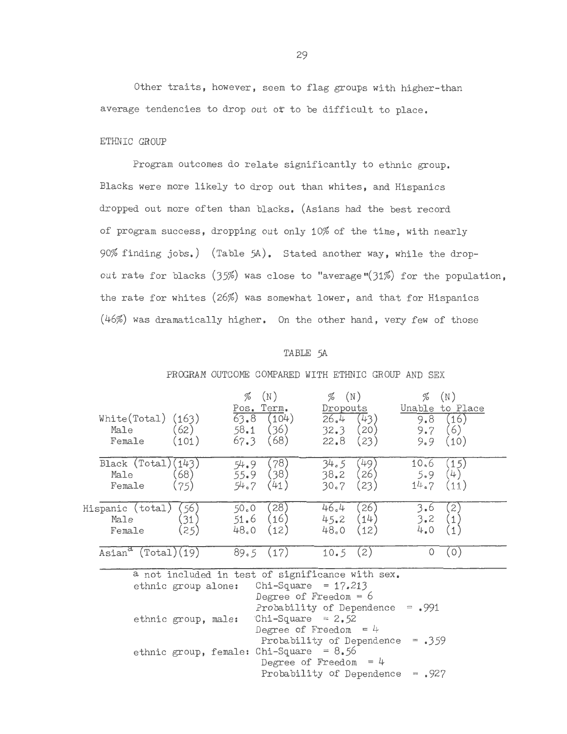Other traits, however, seem to flag groups with higher-than average tendencies to drop out of to be difficult to place.

#### ETHNIC GROUP

Program outcomes do relate significantly to ethnic group. Blacks were more likely to drop out than whites, and Hispanics dropped out more often than blacks. (Asians had the best record of program success, dropping out only 10% of the time, with nearly 90% finding jobs.) (Table 5A). Stated another way, while the dropout rate for blacks  $(35%)$  was close to "average" $(31%)$  for the population, the rate for whites (26%) was somewhat lower, and that for Hispanics (46%) was dramatically higher. On the other hand, very few of those

#### TABLE 5A

| White(Total) $(163)$<br>(62)<br>Male<br>Female<br>(101)                 | %<br>(N)<br>Pos. Term.<br>63.8<br>(104)<br>(36)<br>58.1<br>(68)<br>67.3              | $\%$ (N)<br>Dropouts<br>(43)<br>26.4<br>(20)<br>32.3<br>(23)<br>22.8                   | %<br>(N)<br>Unable to Place<br>(16)<br>9.8<br>(6)<br>9.7<br>(10)<br>9.9 |  |  |  |  |  |  |  |
|-------------------------------------------------------------------------|--------------------------------------------------------------------------------------|----------------------------------------------------------------------------------------|-------------------------------------------------------------------------|--|--|--|--|--|--|--|
| Black $(Total)(143)$<br>(68)<br>Male<br>(75)<br>Female                  | (78)<br>54.9<br>(38)<br>55.9<br>54.7<br>(41)                                         | (49)<br>34.5<br>(26)<br>38.2<br>30.7<br>(23)                                           | (15)<br>10.6<br>(4)<br>5.9<br>14.7<br>(11)                              |  |  |  |  |  |  |  |
| (56)<br>Hispanic (total)<br>(31)<br>Male<br>(25)<br>Female              | (28)<br>50.0<br>(16)<br>51.6<br>48.0<br>(12)                                         | 46.4<br>26)<br>(14)<br>45.2<br>48.0<br>(12)                                            | $\mathbf{2}$<br>3.6<br>3.2<br>$\overline{1}$<br>4.0                     |  |  |  |  |  |  |  |
| $\text{Asian}^{\alpha} \text{ (Total)}(19)$                             | 89.5(17)                                                                             | 10.5(2)                                                                                | (0)<br>0                                                                |  |  |  |  |  |  |  |
| a not included in test of significance with sex.<br>ethnic group alone: |                                                                                      | Chi-Square = $17.213$<br>Degree of Freedom = $6$<br>Probability of Dependence $= .991$ |                                                                         |  |  |  |  |  |  |  |
| ethnic group, male:                                                     | Chi-Square = $2.52$<br>Degree of Freedom = $4$<br>Probability of Dependence = $.359$ |                                                                                        |                                                                         |  |  |  |  |  |  |  |
| ethnic group, female: Chi-Square = $8.56$                               |                                                                                      | Degree of Freedom = $4$<br>Probability of Dependence                                   | $= .927$                                                                |  |  |  |  |  |  |  |

#### PROGRAM OUTCOME COMPARED WITH ETHNIC GROUP AND SEX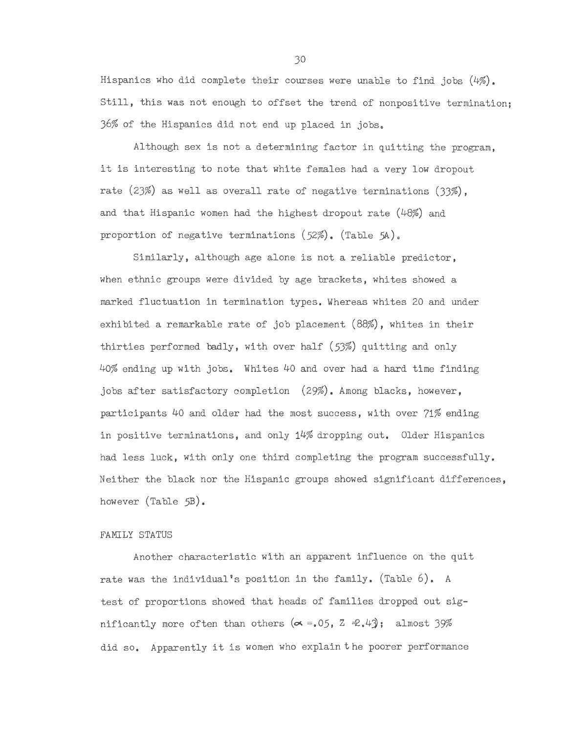Hispanics who did complete their courses were unable to find jobs (4%). Still, this was not enough to offset the trend of nonpositive termination; J6% of the Hispanics did not end up placed in jobs <sup>0</sup>

Although sex is not a determining factor in quitting the program, it is interesting to note that white females had a very low dropout rate  $(23%)$  as well as overall rate of negative terminations  $(33%)$ , and that Hispanic women had the highest dropout rate (48%) and proportion of negative terminations  $(52\%)$ . (Table 5A).

Similarly, although age alone is not a reliable predictor, when ethnic groups were divided by age brackets, whites showed a marked fluctuation in termination types. Wnereas whites 20 and under exhibited a remarkable rate of job placement (88%), whites in their thirties performed badly, with over half (53%) quitting and only 40% ending up with jobs. Whites 40 and over had a hard time finding jobs after satisfactory completion (29%). Among blacks, however, participants 40 and older had the most success, with over 71% ending in positive terminations, and only 14% dropping out. Older Hispanics had less luck, with only one third completing the program successfully. Neither the black nor the Hispanic groups showed significant differences, however (Table 5B).

#### FAMILY STATUS

Another characteristic with an apparent influence on the quit rate was the individual's position in the family. (Table 6). A test of proportions showed that heads of families dropped out significantly more often than others  $(\alpha = .05, Z \neq .4)$ ; almost 39% did so. Apparently it is women who explain the poorer performance

JO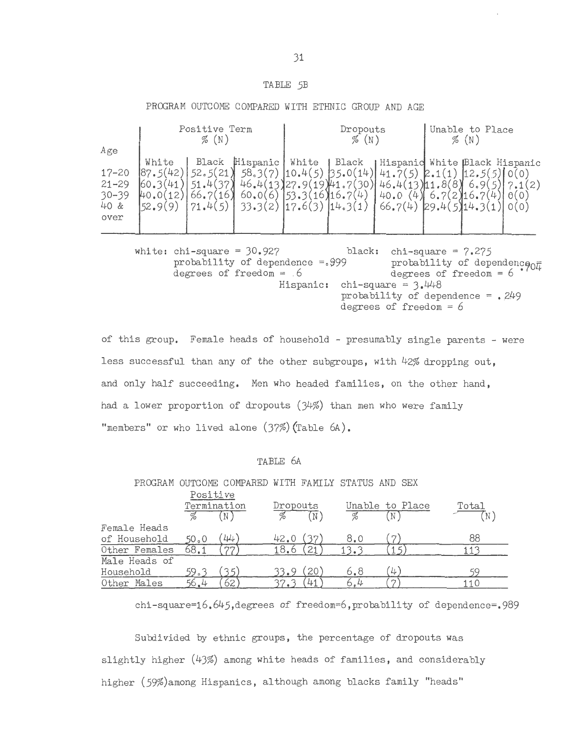# TABLE 5B

| Age                                                 |                                          | Positive Term<br>$\%$ (N) |                                                                           |                           | Dropouts<br>$\%$ (N)          | Unable to Place<br>$\%$ (N)                                                                                                                                                |                      |  |             |
|-----------------------------------------------------|------------------------------------------|---------------------------|---------------------------------------------------------------------------|---------------------------|-------------------------------|----------------------------------------------------------------------------------------------------------------------------------------------------------------------------|----------------------|--|-------------|
| $17 - 20$<br>$21 - 29$<br>$30 - 39$<br>40 &<br>over | White<br> 87.5(42)<br>41<br>12.<br>52.9( | 52.5(21)<br>37<br>66.     | Black Hispanic   White   Black<br>46.4(13)27.9(<br>60.00<br>6.<br>33.3(2) | (53.3(16)16.7(4)<br>17.6( | $(19)$ 41.7<br>.30<br>14.3(1) | Hispanic White Black Hispanic<br>$58.3(7)$ $\vert 10.4(5) \vert 35.0(14) \vert 41.7(5)$ $\vert 2.1(1) \vert 12.5(5) \vert 0(0)$<br>$46.4(13)$ 11.8<br>40.0<br>4<br>66.7(4) | '∙ ం<br>29.4(5)14.3( |  | $\theta(0)$ |

white: chi-square =  $30.927$ probability of dependence  $=$ . 999 degrees of freedom =  $6$ black: chi-square =  $7.275$ probability of dependence  $\frac{1}{0}$ degrees of freedom  $= 6$ Hispanic: chi-square =  $3.448$ probability of dependence =  $.249$ degrees of freedom  $= 6$ 

of this group. Female heads of household - presumably single parents - were less successful than any of the other subgroups, with 42% dropping out, and only half succeeding. Men who headed families, on the other hand, had a lower proportion of dropouts (34%) than men who were family "members" or who lived alone (37%) (Table 6A).

#### TABLE 6A

PROGRAM OUTCOME COMPARED WITH FAMILY STATUS AND SEX

|               | Positive<br>Termination |            | Dropouts  | 'N | %    | Unable to Place | Total<br>'N |
|---------------|-------------------------|------------|-----------|----|------|-----------------|-------------|
| Female Heads  |                         |            |           |    |      |                 |             |
| of Household  | 50 <sub>°</sub> 0       | 44         | 42.0 (37) |    | 8.0  |                 | 88          |
| Other Females | 68.1                    | $\eta\eta$ | 18.6      | 21 | 13.3 |                 |             |
| Male Heads of |                         |            |           |    |      |                 |             |
| Household     | 59.उ                    |            | 33.9      | 20 | 6.8  | 4               | ςg          |
| Other Males   | 56.4                    | 62         |           | 41 | 6.4  | $\sim$          | 110         |

chi-square=16.645,degrees of freedom=6,probability of dependence=.989

Subdivided by ethnic groups, the percentage of dropouts was slightly higher (43%) among white heads of families, and considerably higher (59%)among Hispanics, although among blacks family "heads"

# PROGRAM OUTCOME COMPARED WITH ETHNIC GROUP AND AGE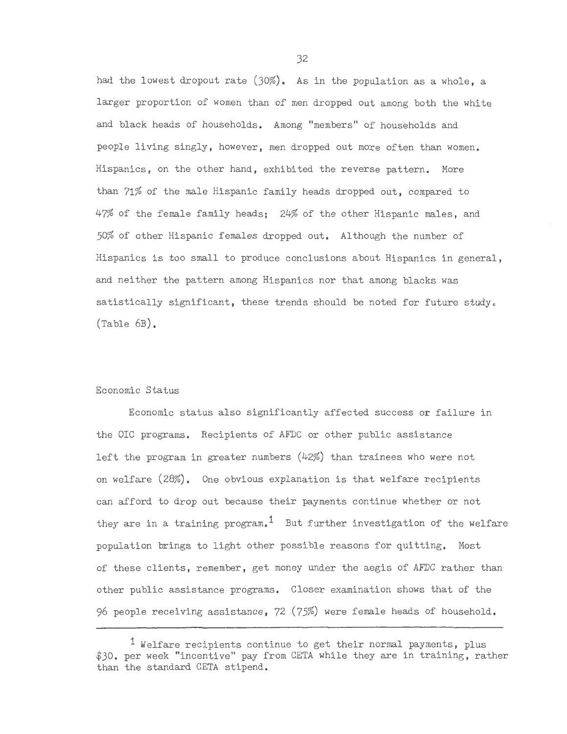had the lowest dropout rate (30%). As in the population as a whole, a larger proportion of women than of men dropped out among both the white and black heads of households. Among "members" of households and people living singly, however, men dropped out more often than women. Hispanics, on the other hand, exhibited the reverse pattern. More than 71% of the male Hispanic family heads dropped out, compared to 47% of the female family heads; 24% of the other Hispanic males, and 50% of other Hispanic females dropped out. Although the number of Hispanics is too small to produce conclusions about Hispanics in general, and neither the pattern among Hispanics nor that among blacks was satistically significant, these trends should be noted for future study. (Table 6B).

#### Economic Status

Economic status also significantly affected success or failure in the OIC programs. Recipients of AFDC or other public assistance left the program in greater numbers (42%) than trainees who were not on welfare (28%). One obvious explanation is that welfare recipients can afford to drop out because their payments continue whether or not they are in a training program.<sup>1</sup> But further investigation of the welfare population brings to light other possible reasons for quitting. Most of these clients, remember, get money under the aegis of AFDC rather than other public assistance programs. Closer examination shows that of the 96 people receiving assistance,  $72$   $(75%)$  were female heads of household.

 $<sup>1</sup>$  Welfare recipients continue to get their normal payments, plus</sup> \$30. per week "incentive" pay from CETA while they are in training, rather than the standard CETA stipend.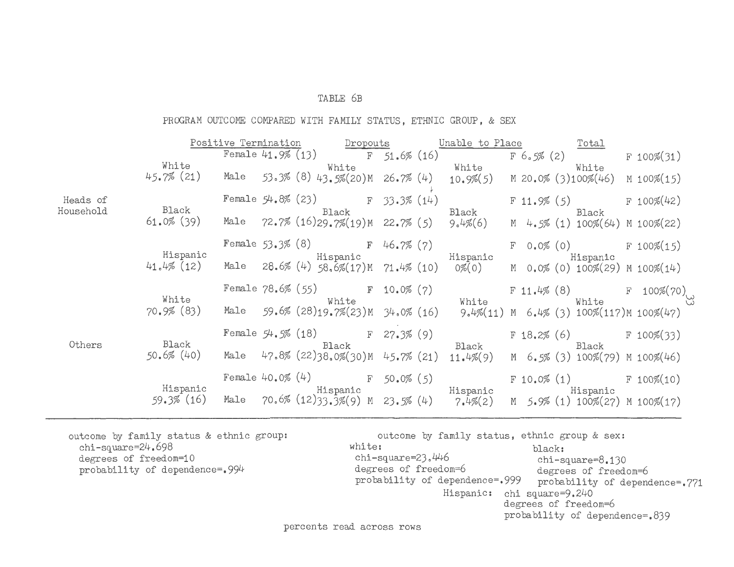#### TABLE 6B

PROGRAM OUTCOME COMPARED WITH FAMILY STATUS, ETHNIC GROUP, & SEX

|                       |                        | Positive Termination | Dropouts                                    |                | Unable to Place                                                                             |            | <b>Total</b>                                   |                  |  |
|-----------------------|------------------------|----------------------|---------------------------------------------|----------------|---------------------------------------------------------------------------------------------|------------|------------------------------------------------|------------------|--|
|                       |                        | Female $41.9\%$ (13) | $F$ 51.6% (16)                              |                |                                                                                             | F 6.5% (2) |                                                | $F 100\%$ (31)   |  |
|                       | White<br>$45.7\%$ (21) | Male                 | White<br>53.3% (8) 43.5%(20)M 26.7% (4)     |                | White White<br>$10.9\%(5)$                                                                  |            | White<br>M 20.0% (3)100%(46)                   | M $100\%$ $(15)$ |  |
| Heads of<br>Household | Black                  |                      | Female $54.8\%$ (23)<br>Black               | $F$ 33.3% (14) | Black                                                                                       |            | $F 11.9\% (5)$ F 100%(42)<br>Black             |                  |  |
|                       | $61.0\%$ (39)          |                      | Male $72.7\%$ (16)29.7%(19)M 22.7% (5)      |                | $9.4\% (6)$                                                                                 |            | $M$ 4.5% (1) 100%(64) M 100%(22)               |                  |  |
|                       | Hispanic               |                      | Female $53.3\%$ (8) F 46.7% (7)<br>Hispanic |                | Hispanic                                                                                    |            | $F \t 0.0\% (0)$ $F \t 100\% (15)$<br>Hispanic |                  |  |
|                       | $41.4\%$ (12)          | Male                 | $28.6\%$ (4) $58.6\%$ (17)M $71.4\%$ (10)   |                | 0%(0)                                                                                       |            | M $0.0\%$ (0) 100%(29) M 100%(14)              |                  |  |
|                       | White                  |                      | Female $78.6\%$ (55) F 10.0% (7)<br>White   |                | White                                                                                       |            | F 11.4% $(8)$<br>White                         | F 100%(70)<br>33 |  |
|                       | $70.9\%$ (83)          | Male                 | 59.6% (28)19.7%(23) M                       |                | 34.0% (16) 9.4% (11) M 6.4% (3) 100% (117) M 100% (47)                                      |            |                                                |                  |  |
| Others                | Black                  |                      | Female $54.5\%$ (18)<br>Black               | $F$ 27.3% (9)  | Black                                                                                       |            | $F 18.2\% (6)$ F 100%(33)<br>Black             |                  |  |
|                       | $50.6\%$ (40)          |                      | Male $47.8\%$ (22)38.0%(30)M $45.7\%$ (21)  |                | 11.4%(9)                                                                                    |            | M $6.5\%$ (3) 100%(79) M 100%(46)              |                  |  |
|                       | Hispanic               |                      |                                             |                | Female 40.0% $(4)$ F 50.0% (5)<br>Hispanic Hispanic Hispanic Hispanic Hispanic              |            | $F 10.0\% (1)$ $F 100\% (10)$                  |                  |  |
|                       | 59.3% (16)             |                      |                                             |                | Male 70.6% $(12)33.3\%$ (9) M 23.5% $(4)$ 7.4% $(2)$ M 5.9% $(1)$ 100% $(27)$ M 100% $(17)$ |            |                                                |                  |  |

outcome by family status & ethnic group: chi-square=24.698 degrees of freedom=10 probability of dependence=.994

outcome by family status, ethnic group & sex:<br>white:<br>hlack: white: black: chi-square= $23.446$  chi-square= $8.130$ <br>degrees of freedom= $6$  degrees of freedom degrees of freedom=6 degrees of freedom=6<br>probability of dependence=.999 probability of depend probability of dependence=.771 Hispanic: chi square=9.240 degrees of freedom=6 probability of dependence=.839

percents read across rows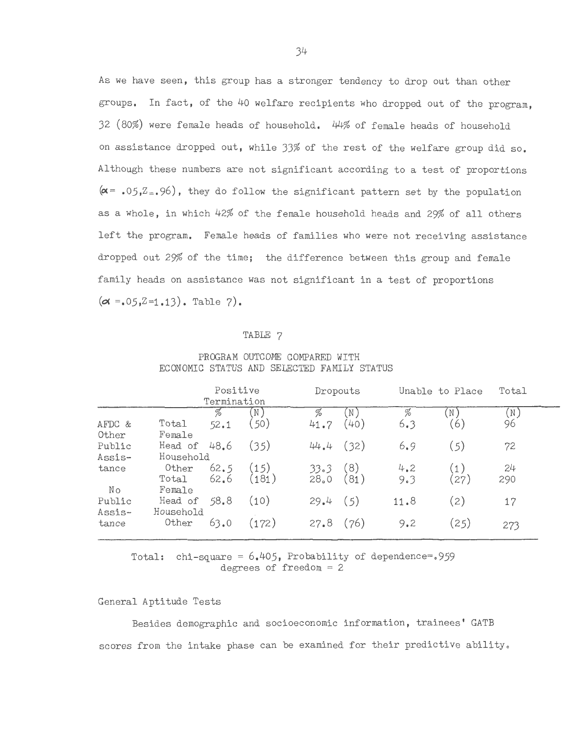As we have seen, this group has a stronger tendency to drop out than other groups. In fact, of the 40 welfare recipients who dropped out of the program, 32 (80%) were female heads of household. 44% of female heads of household on assistance dropped out, while 33% of the rest of the welfare group did so. Although these numbers are not significant according to a test of proportions  $(\alpha = 0.6, Z_{\pm}, 96)$ , they do follow the significant pattern set by the population as a whole, in which 42% of the female household heads and 29% of all others left the program. Female heads of families who were not receiving assistance dropped out 29% of the time; the difference between this group and female family heads on assistance was not significant in a test of proportions  $(\alpha = .05, Z = 1.13)$ . Table 7).

#### TABLE 7

#### PROGRAM OUTCOME COMPARED WITH ECONOMIC STATUS AND SELECTED FAMILY STATUS

|                  | Positive<br>Termination  |              |                             | Dropouts     |                                   | Unable to Place |            | Total     |
|------------------|--------------------------|--------------|-----------------------------|--------------|-----------------------------------|-----------------|------------|-----------|
| AFDC &<br>Other  | Total<br>Female          | H<br>52.1    | $(\, \mathbb{N} \,)$<br>50) | %<br>41.7    | $\left(\mathbb{N}\right)$<br>(40) | %<br>6.3        | N)<br>(6)  | N<br>96   |
| Public<br>Assis- | Head of<br>Household     | 48.6         | (35)                        | 44.4         | (32)                              | 6.9             | (5)        | 72        |
| tance<br>Νo      | Other<br>Total<br>Female | 62.5<br>62.6 | (15)<br>(181)               | 33.3<br>28.0 | (8)<br>(81)                       | 4.2<br>9.3      | (1)<br>27) | 24<br>290 |
| Public<br>Assis- | Head of<br>Household     | 58.8         | (10)                        | 29.4         | (5)                               | 11.8            | 2)         | 17        |
| tance            | Other                    | 63.0         | (172)                       | 27.8         | (76)                              | 9.2             | (25)       | 273       |

Total: chi-square =  $6.405$ , Probability of dependence=.959 degrees of freedom = 2

#### General Aptitude Tests

Besides demographic and socioeconomic information, trainees' GATB scores from the intake phase can be examined for their predictive ability.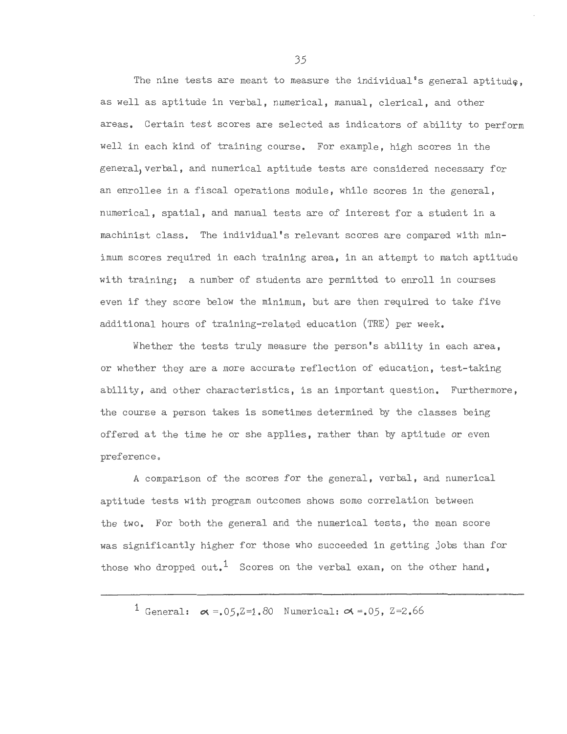The nine tests are meant to measure the individual's general aptitude. as well as aptitude in verbal, numerical, manual, clerical, and other areas. Certain test scores are selected as indicators of ability to perform well in each kind of training course. For example, high scores in the general, verbal, and numerical aptitude tests are considered necessary for an enrollee in a fiscal operations module, while scores in the general, numerical, spatial, and manual tests are of interest for a student in a machinist class. The individual's relevant scores are compared with minimum scores required in each training area, in an attempt to match aptitude with training; a number of students are permitted to enroll in courses even if they score below the minimum, but are then required to take five additional hours of training-related education (TRE) per week.

Whether the tests truly measure the person's ability in each area, or whether they are a more accurate reflection of education, test-taking ability, and other characteristics, is an important question. Furthermore, the course a person takes is sometimes determined by the classes being offered at the time he or she applies, rather than by aptitude or even preference.

A comparison of the scores for the general, verbal, and numerical aptitude tests with program outcomes shows some correlation between the two. For both the general and the numerical tests, the mean score was significantly higher for those who succeeded in getting jobs than for those who dropped out,<sup>1</sup> Scores on the verbal exam, on the other hand,

<sup>1</sup> General:  $\alpha = .05.2 = 1.80$  Numerical:  $\alpha = .05$ ,  $Z = 2.66$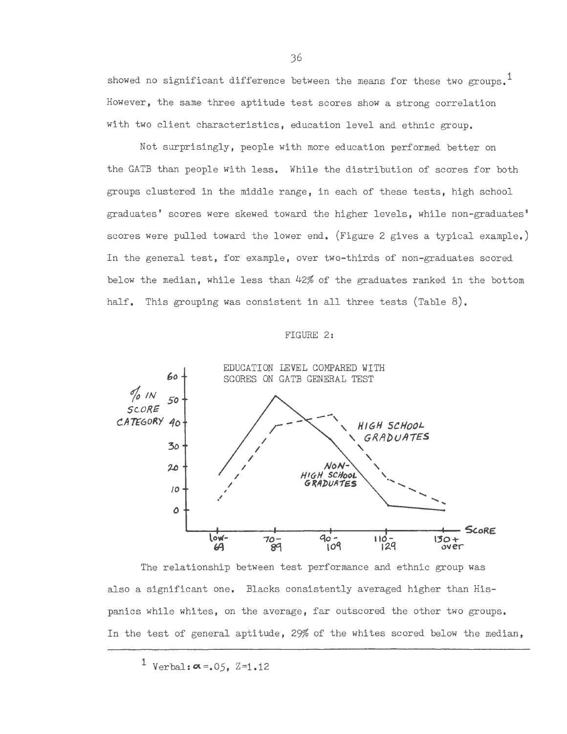showed no significant difference between the means for these two groups.<sup>1</sup> However, the same three aptitude test scores show a strong correlation with two client characteristics, education level and ethnic group.

Not surprisingly, people with more education performed better on the GATE than people with less. While the distribution of scores for both groups clustered in the middle range, in each of these tests, high school graduates' scores were skewed toward the higher levels, while non-graduates' scores were pulled toward the lower end. (Figure 2 gives a typical example.) In the general test, for example, over two-thirds of non-graduates scored below the median, while less than 42% of the graduates ranked in the bottom half. This grouping was consistent in all three tests (Table 8).

#### FIGURE 2:



The relationship between test performance and ethnic group was also a significant one. Blacks consistently averaged higher than Hispanics while whites, on the average, far outscored the other two groups. In the test of general aptitude, 29% of the whites scored below the median,

 $1$  Verbal:  $\alpha = .05$ ,  $Z=1.12$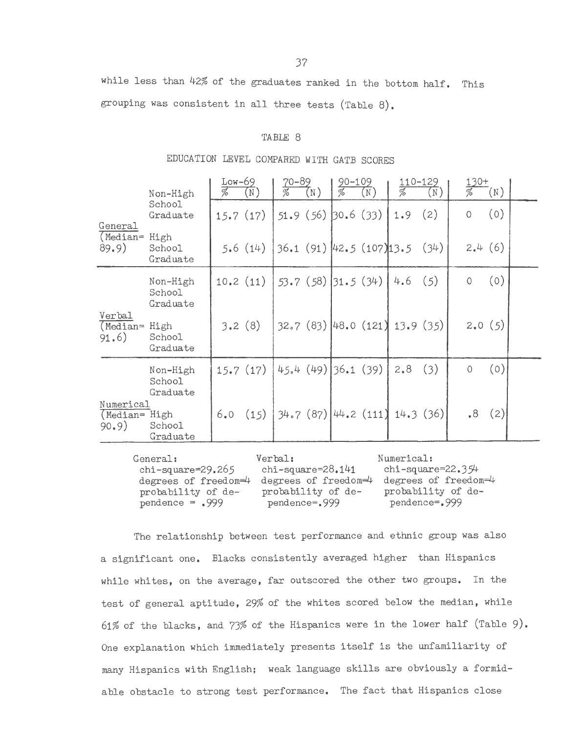while less than 42% of the graduates ranked in the bottom half. This grouping was consistent in all three tests (Table 8).

#### TABLE 8

# EDUCATION LEVEL COMPARED WITH GATB SCORES

|                                     | Non-High                       | $Low-69$<br>$\overline{\mathscr{A}}$ | $(\overline{N})$ | $70 - 89$              | $(\mathbb{N}\,)$ | <u>90–109</u><br>$\overline{\mathscr{I}_{o}}$ | $(\overline{\texttt{N}}\hspace{1pt})$ | 110-129<br>$\overline{\mathscr{U}}$ | $\left(\mathbb{N}\right)$ | $130+$  | $(\mathbb{N})$ |  |
|-------------------------------------|--------------------------------|--------------------------------------|------------------|------------------------|------------------|-----------------------------------------------|---------------------------------------|-------------------------------------|---------------------------|---------|----------------|--|
| General                             | School<br>Graduate             | 15.7(17)                             |                  |                        |                  |                                               | $51.9(56)$ 30.6 (33)                  | 1.9                                 | (2)                       | $\circ$ | (0)            |  |
| (Median= High<br>89.9)              | School<br>Graduate             |                                      | 5.6(14)          |                        |                  |                                               |                                       | $36.1(91)$ 42.5 $(107)13.5(34)$     |                           |         | 2.4(6)         |  |
|                                     | Non-High<br>School<br>Graduate |                                      | 10.2(11)         |                        |                  | $53.7(58)$ 31.5 (34)                          |                                       | 4.6                                 | (5)                       | 0       | (0)            |  |
| Verbal<br>$(Median =$<br>91.6)      | High<br>School<br>Graduate     | 3.2(8)                               |                  |                        |                  |                                               |                                       | $32.7(83)$ 48.0 $(121)$ 13.9 $(35)$ |                           |         | 2.0(5)         |  |
|                                     | Non-High<br>School<br>Graduate |                                      | 15.7(17)         |                        |                  | $45.4(49)$ 36.1 (39)                          |                                       | 2,8                                 | (3)                       | 0       | (0)            |  |
| Numerical<br>(Median= High<br>90.9) | School<br>Graduate             |                                      | 6.0(15)          | $34.7(87)$ $44.2(111)$ |                  |                                               |                                       | 14.3(36)                            |                           | .8      | (2)            |  |

| General:                | Verbal:                 | Numerical:           |
|-------------------------|-------------------------|----------------------|
| chi-square= $29.265$    | $chi$ -square=28.141    | chi-square=22.3 $94$ |
| degrees of freedom= $4$ | degrees of freedom= $4$ | degrees of freedom=4 |
| probability of de-      | probability of de-      | probability of de-   |
| $pendence = .999$       | pendence=.999           | pendence=.999        |

The relationship between test performance and ethnic group was also a significant one. Blacks consistently averaged higher than Hispanics while whites, on the average, far outscored the other two groups. In the test of general aptitude, 29% of the whites scored below the median, while 61% of the blacks, and 73% of the Hispanics were in the lower half (Table 9). One explanation which immediately presents itself is the unfamiliarity of many Hispanics with English; weak language skills are obviously a formidable obstacle to strong test performance. The fact that Hispanics close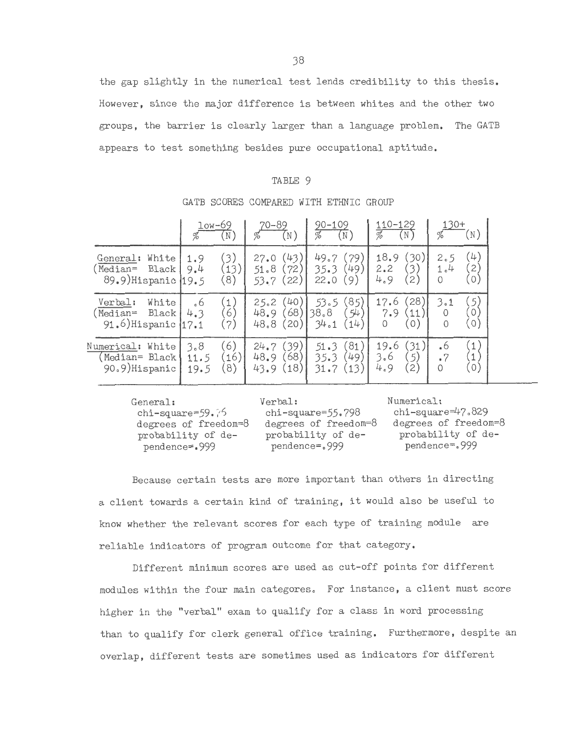the gap slightly in the numerical test lends credibility to this thesis. However, since the major difference is between whites and the other two groups, the barrier is clearly larger than a language problem. The GATB appears to test something besides pure occupational aptitude.

#### TABLE 9

|                                                               | $low-69$<br>(N,<br>%                          | $70 - 89$<br>$\left(\mathbb{N}\right)$<br>% | $90 - 109$<br>$(\mathbb{N})$                          | 110-129<br>$(\mathbb{N})$                             | 130+<br>$(\hbox{\tt\thinspace N}\hskip1pt)$<br>℅                              |
|---------------------------------------------------------------|-----------------------------------------------|---------------------------------------------|-------------------------------------------------------|-------------------------------------------------------|-------------------------------------------------------------------------------|
| White<br>General:<br>Median=<br>Black<br>89.9) Hispanic (19.5 | (3)<br>1.9<br>(13)<br>9.4<br>$\left(8\right)$ | (43)<br>27.0<br>51.8<br>72<br>22<br>53.7    | 49.7<br>79,<br>49)<br>35.3<br>22.0<br>9)              | (30)<br>18.9<br>3)<br>2.2<br>4.9<br>$\left( 2\right)$ | (4)<br>2.5<br>$\mathcal{Z}$<br>1.4<br>$\left[0\right]$<br>$\circ$             |
| Verbal:<br>White<br>Black<br>Median=<br>91.6) Hispanic  17.1  | $\mathbf{1}$<br>.6<br>$6^{\circ}$<br>4.3<br>7 | (40<br>25.2<br>68<br>48.9<br>48.8<br>20     | (85)<br>53.5<br>38.8<br>54<br>(14)<br>34.1            | 28)<br>17.6<br>7.9<br>11<br>0<br>$\circ$ )            | (5)<br>3.1<br>$\circlearrowright$<br>(0)                                      |
| White<br>Numerical:<br>(Median= Black<br>90.9)Hispanic        | 6)<br>3.8<br>(16)<br>11.5<br>8)<br>19.5       | (39)<br>24.7<br>68<br>48.9<br>(18<br>43.9   | $^{\prime}81$<br>51.3<br>(49)<br>35.3<br>(13)<br>31.7 | (31)<br>19.6<br>5)<br>3.6<br>4.9<br>$\left( 2\right)$ | $\left(1\right)$<br>.6<br>$\mathbf 1$<br>.7<br>$\left( 0 \right)$<br>$\Omega$ |

#### GATB SCORES COMPARED WITH ETHNIC GROUP

General: chi-square=59. ?6 degrees of freedom=8 probability of dependence=-.999

Verbal: chi-square=55.798 degrees of freedom=8 probability of dependence=.999

Numerical: chi-square=47.829 degrees of freedom=8 probability of dependence=.999

Because certain tests are more important than others in directing a client towards a certain kind of training, it would also be useful to know whether the relevant scores for each type of training module are reliable indicators of program outcome for that category.

Different minimum scores are used as cut-off points for different modules within the four main categores. For instance, a client must score higher in the "verbal" exam to qualify for a class in word processing than to qualify for clerk general office training. Furthermore, despite an overlap, different tests are sometimes used as indicators for different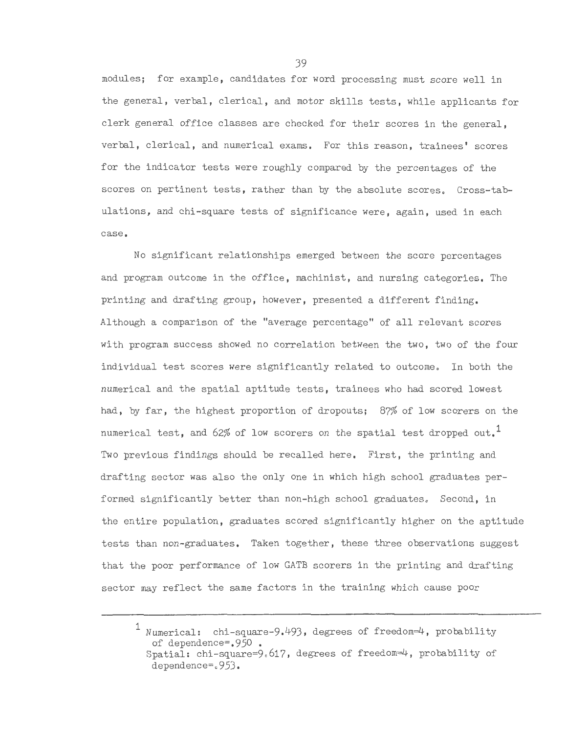modules; for example, candidates for word processing must score well in the general, verbal, clerical, and motor skills tests, while applicants for clerk general office classes are checked for their scores in the general, verbal, clerical, and numerical exams. For this reason, trainees' scores for the indicator tests were roughly compared by the percentages of the scores on pertinent tests, rather than by the absolute scores. Cross-tabulations, and chi-square tests of significance were, again, used in each case.

No significant relationships emerged between the score percentages and program outcome in the office, machinist, and nursing categories. The printing and drafting group, however, presented a different finding. Although a comparison of the "average percentage" of all relevant scores with program success showed no correlation between the two, two of the four individual test scores were significantly related to outcome. In both the numerical and the spatial aptitude tests, trainees who had scored lowest had, by far, the highest proportion of dropouts; 87% of low scorers on the numerical test, and 62% of low scorers on the spatial test dropped out.<sup>1</sup> Two previous findings should be recalled here. First, the printing and drafting sector was also the only one in which high school graduates performed significantly better than non-high school graduates. Second, in the entire population, graduates scored significantly higher on the aptitude tests than non-graduates. Taken together, these three observations suggest that the poor performance of low GATE scorers in the printing and drafting sector may reflect the same factors in the training which cause poor

<sup>1</sup> Numerical: chi-square-9.493, degrees of freedom=4, probability of dependence=.950 • Spatial: chi-square=9.617, degrees of freedom=4, probability of dependence=.953·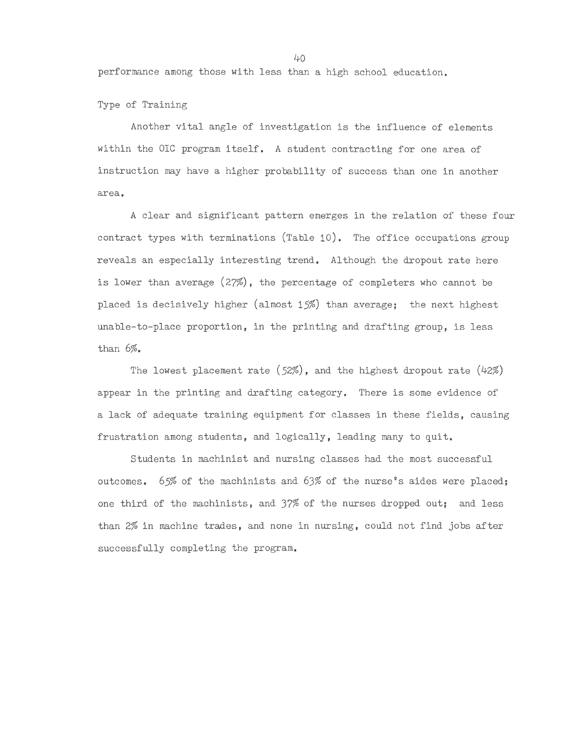performance among those with less than a high school education.

Type of Training

Another vital angle of investigation is the influence of elements within the OIC program itself. A student contracting for one area of instruction may have a higher probability of success than one in another area.

A clear and significant pattern emerges in the relation of these four contract types with terminations (Table 10). The office occupations group reveals an especially interesting trend. Although the dropout rate here is lower than average (27%), the percentage of completers who cannot be placed is decisively higher (almost 15%) than average; the next highest unable-to-place proportion, in the printing and drafting group, is less than 6%.

The lowest placement rate *(52%),* and the highest dropout rate (42%) appear in the printing and drafting category. There is some evidence of a lack of adequate training equipment for classes in these fields, causing frustration among students, and logically, leading many to quit.

Students in machinist and nursing classes had the most successful outcomes. 65% of the machinists and 63% of the nurse's aides were placed; one third of the machinists, and 37% of the nurses dropped out; and less than 2% in machine trades, and none in nursing, could not find jobs after successfully completing the program.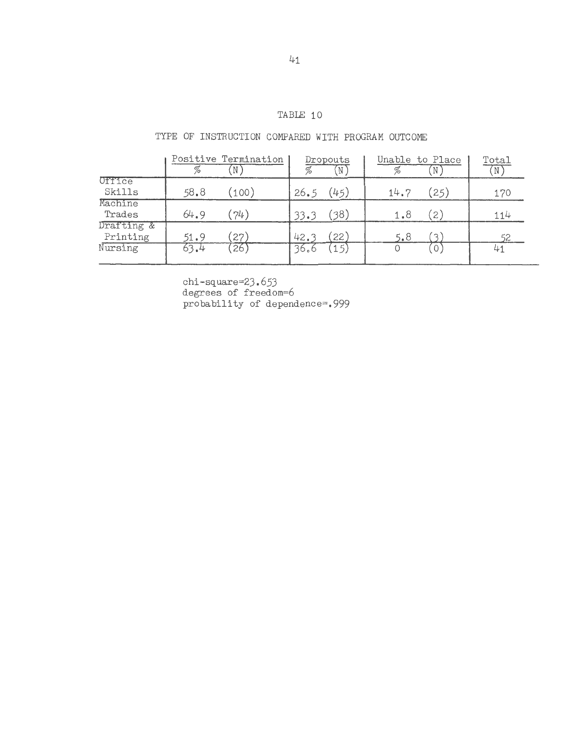# TABLE 10

# TYPE OF INSTRUCTION COMPARED WITH PROGRAM OUTCOME

|                        | %    | Positive Termination | %    | Dropouts<br>- N | %    | Unable to Place<br>IN. | Total |
|------------------------|------|----------------------|------|-----------------|------|------------------------|-------|
| Office<br>Skills       | 58.8 | (100)                | 26.5 | (45)            | 14.7 | (25)                   | 170   |
| Machine<br>Trades      | 64.9 | (74)                 | 33.3 | (38)            | 1.8  | $\left( 2\right)$      | 114   |
| Drafting &<br>Printing | 51.9 | (27)                 | 42.3 | 22'             | 5.8  |                        | 52    |
| Nursing                | 63.4 | (26)                 | 36.6 | 15)             | 0    | $\circ$                | 41    |

chi-square=23.653 degrees of freedom=6 probability of dependence=.999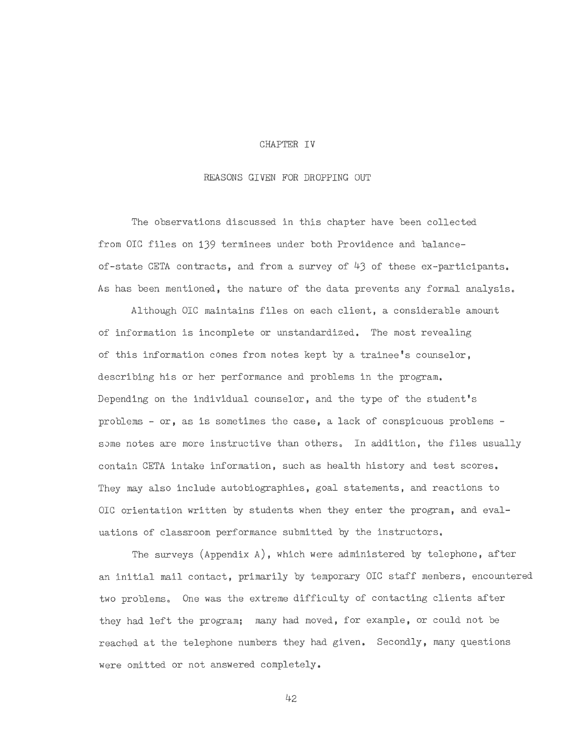#### CHAPTER IV

#### REASONS GIVEN FOR DROPPING OUT

The observations discussed in this chapter have been collected from OIC files on 139 terminees under both Providence and balanceof-state CETA contracts, and from a survey of  $43$  of these ex-participants. As has been mentioned, the nature of the data prevents any formal analysis.

Although OIC maintains files on each client, a considerable amount of information is incomplete or unstandardized. The most revealing of this information comes from notes kept by a trainee's counselor, describing his or her performance and problems in the program. Depending on the individual counselor, and the type of the student's problems - or, as is sometimes the case, a lack of conspicuous problems some notes are more instructive than others. In addition, the files usually contain CETA intake information, such as health history and test scores. They may also include autobiographies, goal statements, and reactions to OIC orientation written by students when they enter the program, and evaluations of classroom performance submitted by the instructors.

The surveys (Appendix A), which were administered by telephone, after an initial mail contact, primarily by temporary OIC staff members, encountered two problems. One was the extreme difficulty of contacting clients after they had left the program; many had moved, for example, or could not be reached at the telephone numbers they had given. Secondly, many questions were omitted or not answered completely.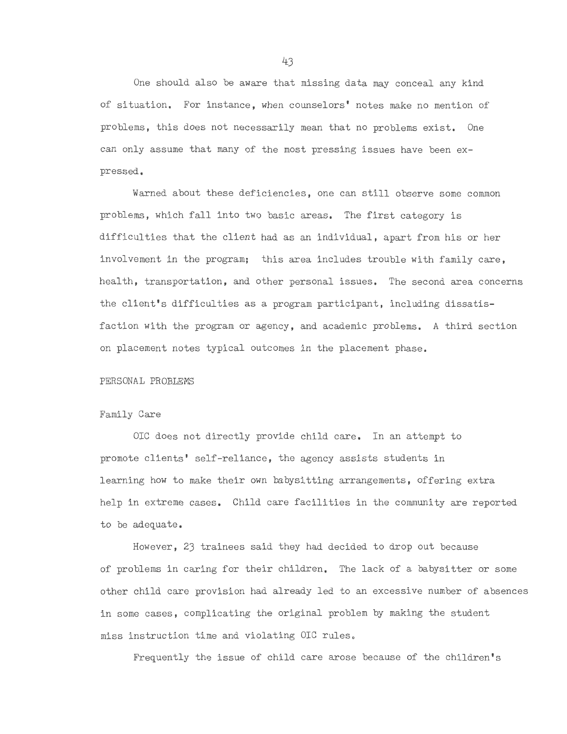One should also be aware that missing data may conceal any kind of situation. For instance, when counselors' notes make no mention of problems, this does not necessarily mean that no problems exist. One can only assume that many of the most pressing issues have been expressed.

Warned about these deficiencies, one can still observe some common problems, which fall into two basic areas. The first category is difficulties that the client had as an individual, apart from his or her involvement in the program; this area includes trouble with family care, health, transportation, and other personal issues. The second area concerns the client's difficulties as a program participant, including dissatisfaction with the program or agency, and academic problems. A third section on placement notes typical outcomes in the placement phase.

#### PERSONAL PROBLEMS

#### Family Care

OIC does not directly provide child care. In an attempt to promote clients' self-reliance, the agency assists students in learning how to make their own babysitting arrangements, offering extra help in extreme cases. Child care facilities in the community are reported to be adequate.

However, 23 trainees said they had decided to drop out because of problems in caring for their children. The lack of a babysitter or some other child care provision had already led to an excessive number of absences in some cases, complicating the original problem by making the student miss instruction time and violating OIC rules.

Frequently the issue of child care arose because of the children's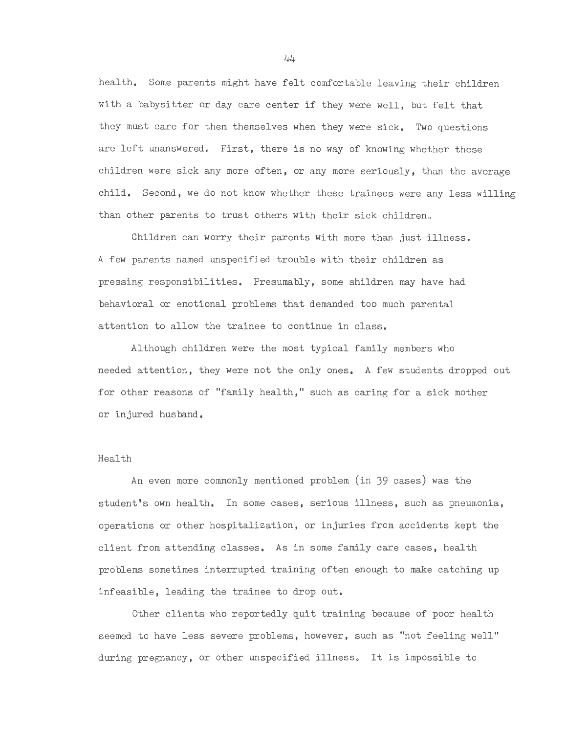health. Some parents might have felt comfortable leaving their children with a babysitter or day care center if they were well, but felt that they must care for them themselves when they were sick. Two questions are left unanswered. First, there is no way of knowing whether these children were sick any more often, or any more seriously, than the average child. Second, we do not know whether these trainees were any less willing than other parents to trust others with their sick children.

Children can worry their parents with more than just illness. A few parents named unspecified trouble with their children as pressing responsibilities. Presumably, some shildren may have had behavioral or emotional problems that demanded too much parental attention to allow the trainee to continue in class.

Although children were the most typical family members who needed attention, they were not the only ones. A few students dropped out for other reasons of "family health," such as caring for a sick mother or injured husband.

# Health

An even more commonly mentioned problem (in 39 cases) was the student's own health. In some cases, serious illness, such as pneumonia, operations or other hospitalization, or injuries from accidents kept the client from attending classes. As in some family care cases, health problems sometimes interrupted training often enough to make catching up infeasible, leading the trainee to drop out.

Other clients who reportedly quit training because of poor health seemed to have less severe problems, however, such as "not feeling well" during pregnancy, or other unspecified illness. It is impossible to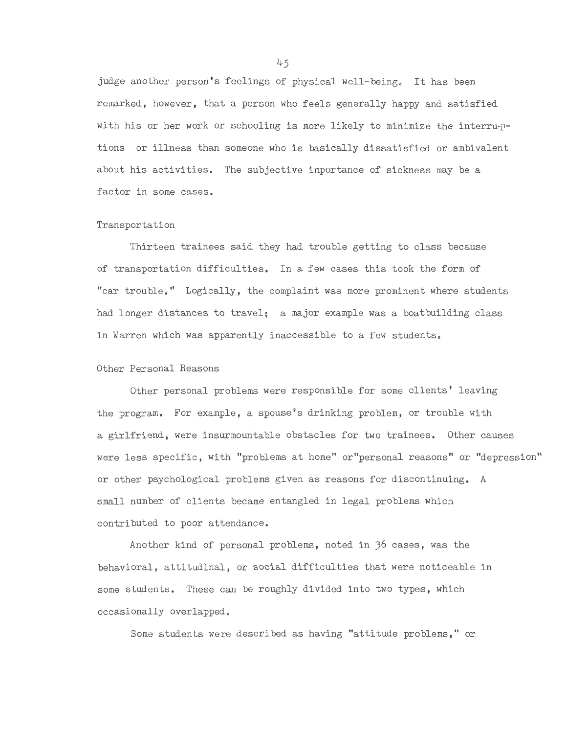judge another person's feelings of physical well-being. It has been remarked, however, that a person who feels generally happy and satisfied with his or her work or schooling is more likely to minimize the interru-ptions or illness than someone who is basically dissatisfied or ambivalent about his activities. The subjective importance of sickness may be a factor in some cases.

#### Transportation

Thirteen trainees said they had trouble getting to class because of transportation difficulties. In a few cases this took the form of "car trouble." Logically, the complaint was more prominent where students had longer distances to travel; a major example was a boatbuilding class in Warren which was apparently inaccessible to a few students.

# Other Personal Reasons

Other personal problems were responsible for some clients' leaving the program. For example, a spouse's drinking problem, or trouble with a girlfriend, were insurmountable obstacles for two trainees. Other causes were less specific, with "problems at home" or"personal reasons" or "depression" or other psychological problems given as reasons for discontinuing. A small number of clients became entangled in legal problems which contributed to poor attendance.

Another kind of personal problems, noted in 36 cases, was the behavioral, attitudinal, or social difficulties that were noticeable in some students. These can be roughly divided into two types, which occasionally overlapped.

Some students were described as having "attitude problems," or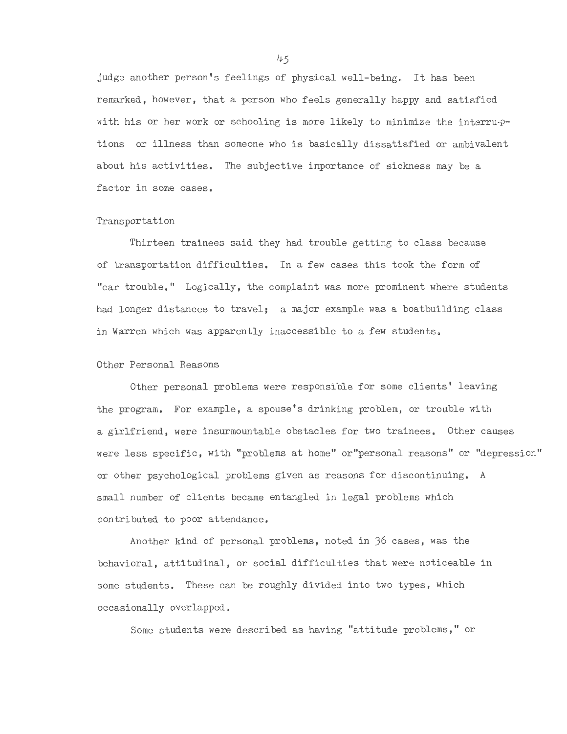judge another person's feelings of physical well-being. It has been remarked, however, that a person who feels generally happy and satisfied with his or her work or schooling is more likely to minimize the interru-ptions or illness than someone who is basically dissatisfied or ambivalent about his activities. The subjective importance of sickness may be a factor in some cases.

#### Transportation

Thirteen trainees said they had trouble getting to class because of transportation difficulties. In a few cases this took the form of "car trouble." Logically, the complaint was more prominent where students had longer distances to travel; a major example was a boatbuilding class in Warren which was apparently inaccessible to a few students.

#### Other Personal Reasons

Other personal problems were responsible for some clients' leaving the program. For example, a spouse's drinking problem, or trouble with a girlfriend, were insurmountable obstacles for two trainees. Other causes were less specific, with "problems at home" or"personal reasons" or "depression" or other psychological problems given as reasons for discontinuing. A small number of clients became entangled in legal problems which contributed to poor attendance.

Another kind of personal problems, noted in 36 cases, was the behavioral, attitudinal, or social difficulties that were noticeable in some students. These can be roughly divided into two types, which occasionally overlapped.

Some students were described as having "attitude problems," or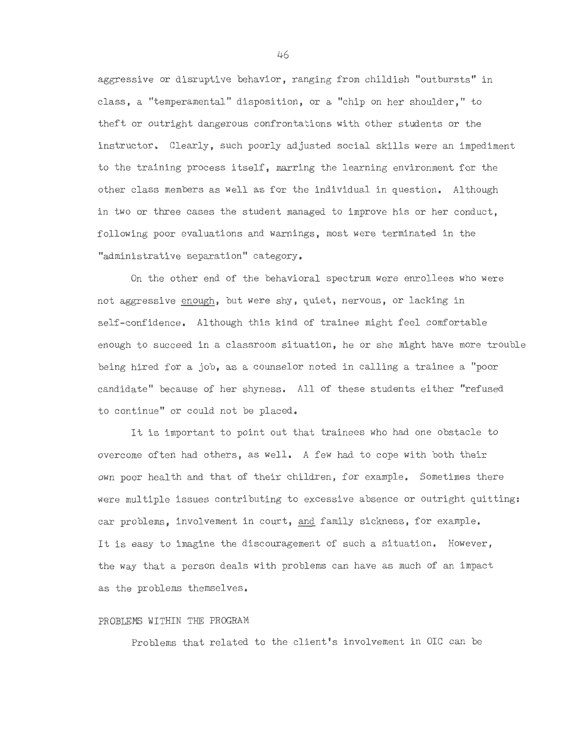aggressive or disruptive behavior, ranging from childish "outbursts" in class, a "temperamental" disposition, or a "chip on her shoulder," to theft or outright dangerous confrontations with other students or the instructor. Clearly, such poorly adjusted social skills were an impediment to the training process itself, marring the learning environment for the other class members as well as for the individual in question. Although in two or three cases the student managed to improve his or her conduct, following poor evaluations and warnings, most were terminated in the "administrative separation" category.

On the other end of the behavioral spectrum were enrollees who were not aggressive enough, but were shy, quiet, nervous, or lacking in self-confidence. Although this kind of trainee might feel comfortable enough to succeed in a classroom situation, he or she might have more trouble being hired for a job, as a counselor noted in calling a trainee a "poor candidate" because of her shyness. All of these students either "refused to continue" or could not be placed.

It is important to point out that trainees who had one obstacle to overcome often had others, as well. A few had to cope with both their own poor health and that of their children, for example. Sometimes there were multiple issues contributing to excessive absence or outright quitting: car problems, involvement in court, and family sickness, for example. It is easy to imagine the discouragement of such a situation. However, the way that a person deals with problems can have as much of an impact as the problems themselves.

# PROBLEMS WITHIN THE PROGRAM

Problems that related to the client's involvement in OIC can be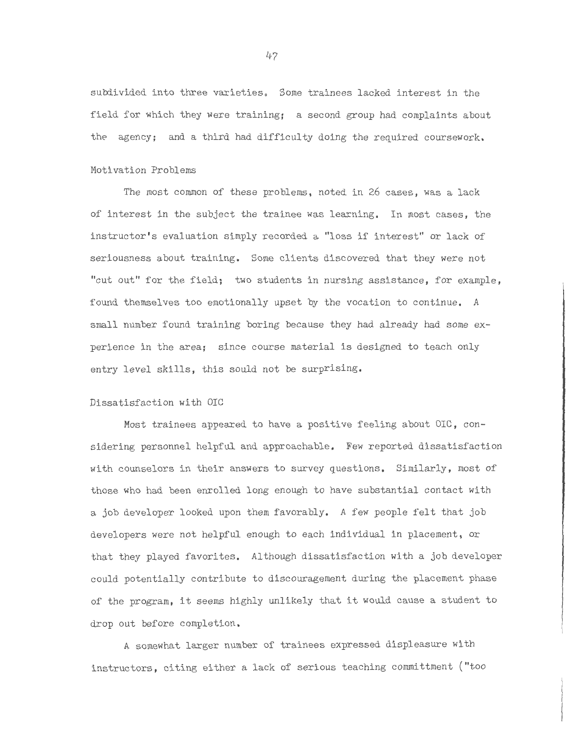subdivided into three varieties. Some trainees lacked interest in the field for which they were training; a second group had complaints about the agency; and a third had difficulty doing the required coursework.

#### Motivation Problems

The most common of these problems, noted in 26 cases, was a lack of interest in the subject the trainee was learning. In most cases, the instructor's evaluation simply recorded a "loss if interest" or lack of seriousness about training. Some clients discovered that they were not "cut out" for the field; two students in nursing assistance, for example, found themselves too emotionally upset by the vocation to continue. *A*  small number found training boring because they had already had some experience in the area; since course material is designed to teach only entry level skills, this sould not be surprising.

#### Dissatisfaction with OIC

Most trainees appeared to have a positive feeling about OIC, considering personnel helpful and approachable. Few reported dissatisfaction with counselors in their answers to survey questions. Similarly, most of those who had been enrolled long enough to have substantial contact with a job developer looked upon them favorably. *A* few people felt that job developers were not helpful enough to each individual in placement, or that they played favorites. Although dissatisfaction with a job developer could potentially contribute to discouragement during the placement phase of the program, it seems highly unlikely that it would cause a student to drop out before completion.

*<sup>A</sup>*somewhat larger number of trainees expressed displeasure with instructors, citing either a lack of serious teaching committment ("too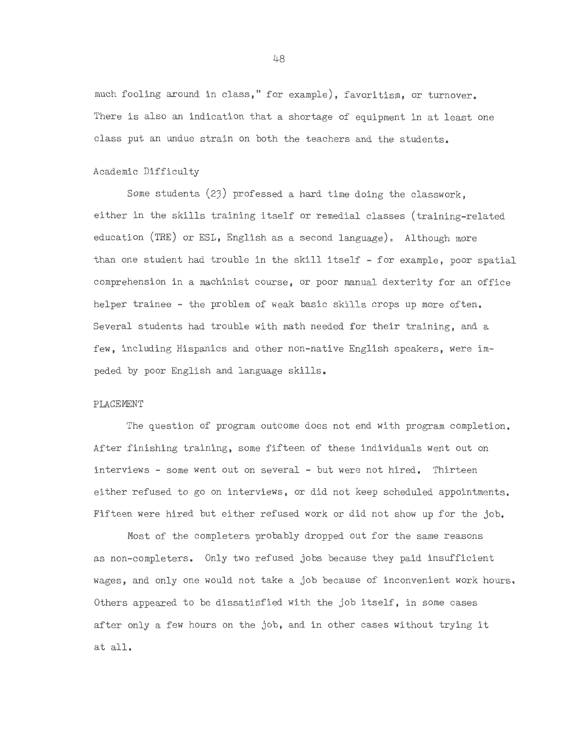much fooling around in class," for example), favoritism, or turnover. There is also an indication that a shortage of equipment in at least one class put an undue strain on both the teachers and the students.

#### Academic Difficulty

Some students  $(23)$  professed a hard time doing the classwork, either in the skills training itself or remedial classes (training-related education  $(IRE)$  or ESL, English as a second language). Although more than one student had trouble in the skill itself - for example, poor spatial comprehension in a machinist course, or poor manual dexterity for an office helper trainee - the problem of weak basic skills crops up more often. Several students had trouble with math needed for their training, and a few, including Hispanics and other non-native English speakers, were impeded by poor English and language skills.

#### PLACEMENT

The question of program outcome does not end with program completion. After finishing training, some fifteen of these individuals went out on interviews - some went out on several - but were not hired. Thirteen either refused to go on interviews, or did not keep scheduled appointments, Fifteen were hired but either refused work or did not show up for the job.

Most of the completers probably dropped out for the same reasons as non-completers. Only two refused jobs because they paid insufficient wages, and only one would not take a job because of inconvenient work hours. Others appeared to be dissatisfied with the job itself, in some cases after only a few hours on the job, and in other cases without trying it at all.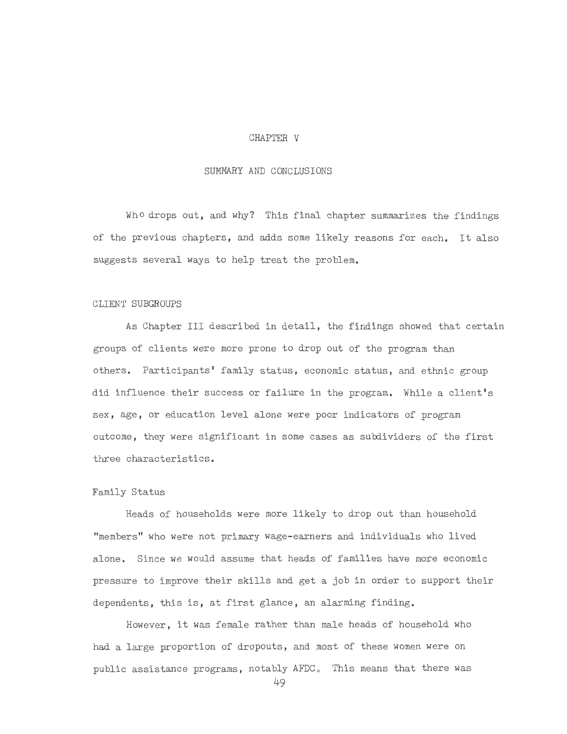#### CHAPTER V

# SUMMARY AND CONCLUSIONS

Who drops out, and why? This final chapter summarizes the findings of the previous chapters, and adds some likely reasons for each. It also suggests several ways to help treat the problem.

#### CLIENT SUBGROUPS

As Chapter III described in detail, the findings showed that certain groups of clients were more prone to drop out of the program than others. Participants' family status, economic status, and ethnic group did influence their success or failure in the program. While a client's sex, age, or education level alone were poor indicators of program outcome, they were significant in some cases as subdividers of the first three characteristics.

#### Family Status

Heads of households were more likely to drop out than household "members" who were not primary wage-earners and individuals who lived alone. Since we would assume that heads of families have more economic pressure to improve their skills and get a job in order to support their dependents, this is, at first glance, an alarming finding.

However, it was female rather than male heads of household who had a large proportion of dropouts, and most of these women were on public assistance programs, notably AFDC. This means that there was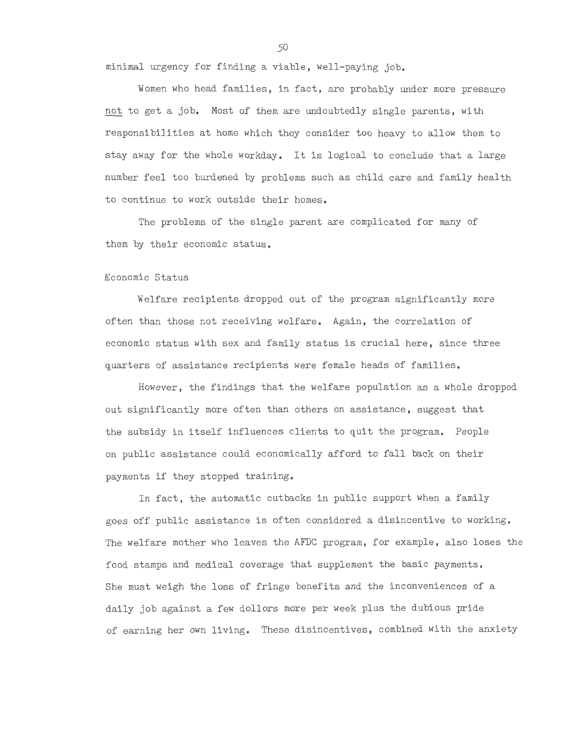minimal urgency for finding a viable, well-paying job.

Women who head families, in fact, are probably under more pressure not to get a job. Most of them are undoubtedly single parents, with responsibilities at home which they consider too heavy to allow them to stay away for the whole workday. It is logical to conclude that a large number feel too burdened by problems such as child care and family health to continue to work outside their homes.

The problems of the single parent are complicated for many of them by their economic status.

#### Economic Status

Welfare recipients dropped out of the program significantly more often than those not receiving welfare. Again, the correlation of economic status with sex and family status is crucial here, since three quarters of assistance recipients were female heads of families.

However, the findings that the welfare population as a whole dropped out significantly more often than others on assistance, suggest that the subsidy in itself influences clients to quit the program. People on public assistance could economically afford to fall back on their payments if they stopped training.

In fact, the automatic cutbacks in public support when a family goes off public assistance is often considered a disincentive to working. The welfare mother who leaves the AFDC program, for example, also loses the food stamps and medical coverage that supplement the basic payments. She must weigh the loss of fringe benefits and the inconveniences of a daily job against a few dollors more per week plus the dubious pride of earning her own living. These disincentives, combined with the anxiety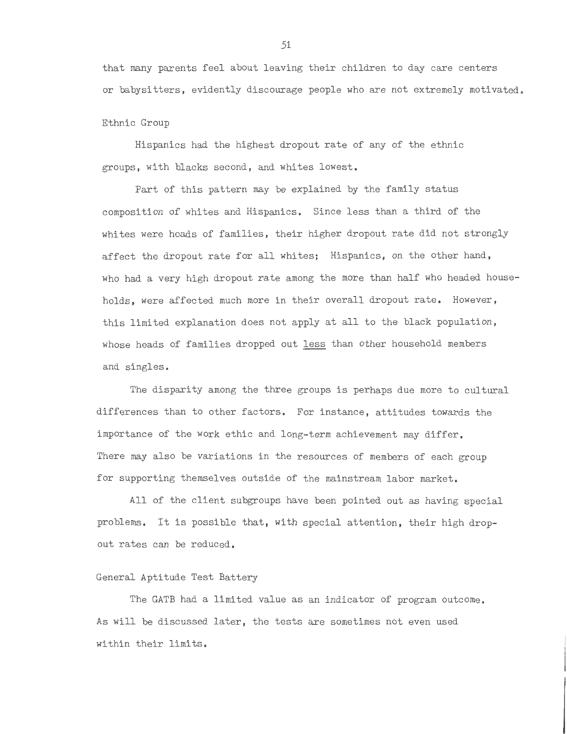that many parents feel about leaving their children to day care centers or babysitters, evidently discourage people who are not extremely motivated.

#### Ethnic Group

Hispanics had the highest dropout rate of any of the ethnic groups, with blacks second, and whites lowest.

Part of this pattern may be explained by the family status composition of whites and Hispanics. Since less than a third of the whites were heads of families, their higher dropout rate did not strongly affect the dropout rate for all whites; Hispanics, on the other hand, who had a very high dropout rate among the more than half who headed households, were affected much more in their overall dropout rate. However, this limited explanation does not apply at all to the black population, whose heads of families dropped out less than other household members and singles.

The disparity among the three groups is perhaps due more to cultural differences than to other factors. For instance, attitudes towards the importance of the work ethic and long-term achievement may differ. There may also be variations in the resources of members of each group for supporting themselves outside of the mainstream labor market.

All of the client subgroups have been pointed out as having special problems. It is possible that, with special attention, their high dropout rates can be reduced.

#### General Aptitude Test Battery

The GATE had a limited value as an indicator of program outcome. As will be discussed later, the tests are sometimes not even used within their limits.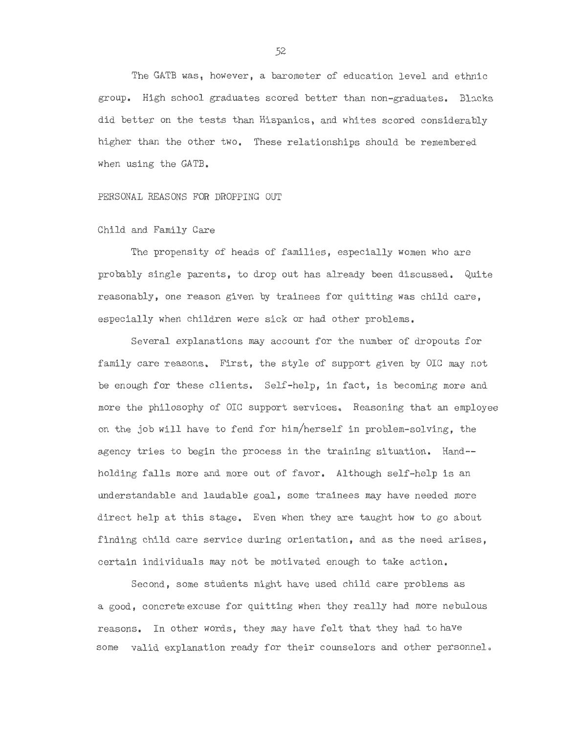The GATB was, however, a barometer of education level and ethnic group. High school graduates scored better than non-graduates. Blacks did better on the tests than Hispanics, and whites scored considerably higher than the other two. These relationships should be remembered when using the GATB.

PERSONAL REASONS FOR DROPPING OUT

Child and Family Care

The propensity of heads of families, especially women who are probably single parents, to drop out has already been discussed. Quite reasonably, one reason given by trainees for quitting was child care, especially when children were sick or had other problems.

Several explanations may account for the number of dropouts for family care reasons. First, the style of support given by OIC may not be enough for these clients. Self-help, in fact, is becoming more and more the philosophy of OIC support services. Reasoning that an employee on the job will have to fend for him/herself in problem-solving, the agency tries to begin the process in the training situation. Hand- holding falls more and more out of favor. Although self-help is an understandable and laudable goal, some trainees may have needed more direct help at this stage. Even when they are taught how to go about finding child care service during orientation, and as the need arises, certain individuals may not be motivated enough to take action.

Second, some students might have used child care problems as a good, concrete excuse for quitting when they really had more nebulous reasons. In other words, they may have felt that they had to have some valid explanation ready for their counselors and other personnel.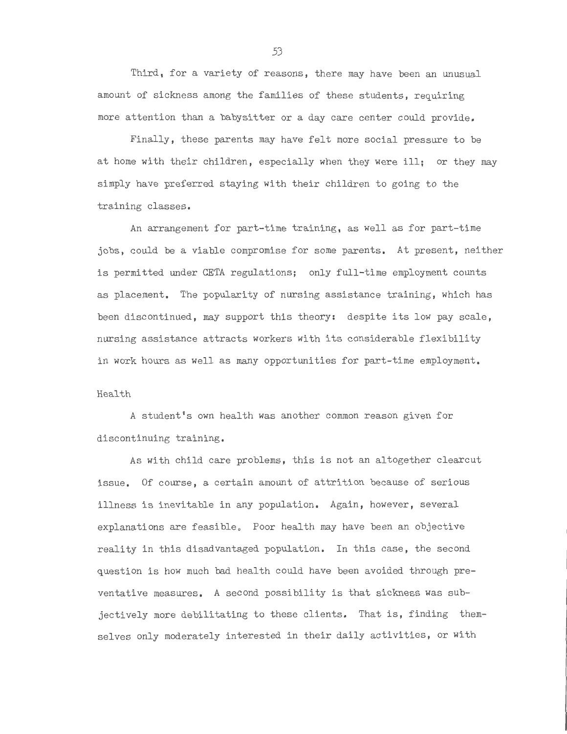Third, for a variety of reasons, there may have been an unusual amount of sickness among the families of these students, requiring more attention than a babysitter or a day care center could provide.

Finally, these parents may have felt more social pressure to be at home with their children, especially when they were ill; or they may simply have preferred staying with their children to going to the training classes.

An arrangement for part-time training, as well as for part-time jobs, could be a viable compromise for some parents. At present, neither is permitted under CETA regulations; only full-time employment counts as placement. The popularity of nursing assistance training, which has been discontinued, may support this theory: despite its low pay scale, nursing assistance attracts workers with its considerable flexibility in work hours as well as many opportunities for part-time employment.

#### Health

A student's own health was another common reason given for discontinuing training.

As with child care problems, this is not an altogether clearcut issue. Of course, a certain amount of attrition because of serious illness is inevitable in any population. Again, however, several explanations are feasible. Poor health may have been an objective reality in this disadvantaged population. In this case, the second question is how much bad health could have been avoided through preventative measures. A second possibility is that sickness was subjectively more debilitating to these clients. That is, finding themselves only moderately interested in their daily activities, or with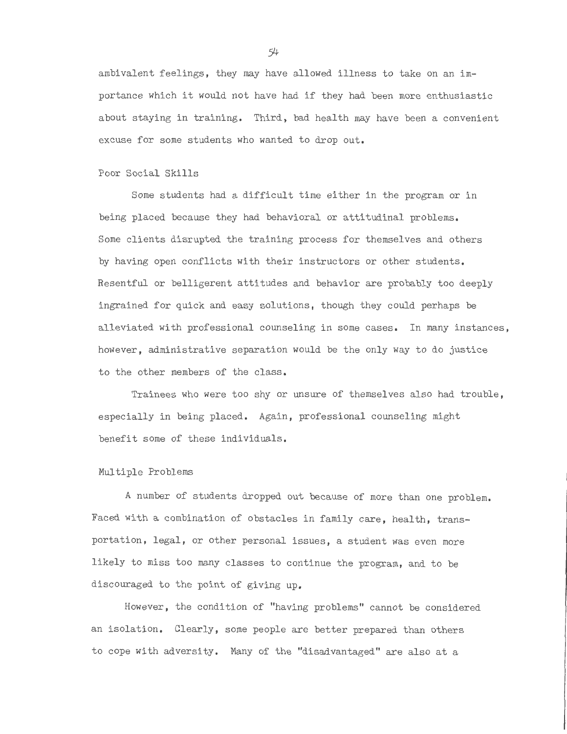ambivalent feelings, they may have allowed illness to take on an importance which it would not have had if they had been more enthusiastic about staying in training. Third, bad health may have been a convenient excuse for some students who wanted to drop out.

#### Poor Social Skills

Some students had a difficult time either in the program or in being placed because they had behavioral or attitudinal problems. Some clients disrupted the training process for themselves and others by having open conflicts with their instructors or other students. Resentful or belligerent attitudes and behavior are probably too deeply ingrained for quick and easy solutions, though they could perhaps be alleviated with professional counseling in some cases. In many instances, however, administrative separation would be the only way to do justice to the other members of the class.

Trainees who were too shy or unsure of themselves also had trouble, especially in being placed. Again, professional counseling might benefit some of these individuals.

#### Multiple Problems

A number of students dropped out because of more than one problem. Faced with a combination of obstacles in family care, health, transportation, legal, or other personal issues, a student was even more likely to miss too many classes to continue the program, and to be discouraged to the point of giving up.

However, the condition of "having problems" cannot be considered an isolation. Clearly, some people are better prepared than others to cope with adversity. Many of the "disadvantaged" are also at a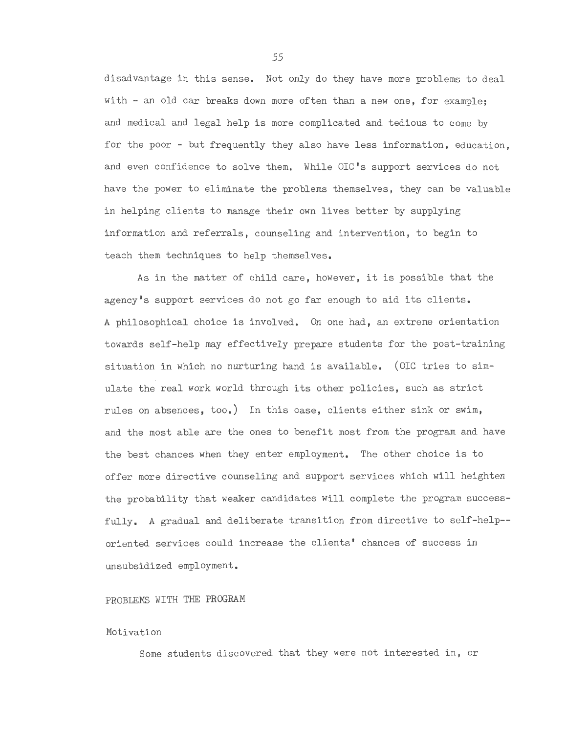disadvantage in this sense. Not only do they have more problems to deal with - an old car breaks down more often than a new one, for example; and medical and legal help is more complicated and tedious to come by for the poor - but frequently they also have less information, education, and even confidence to solve them. While OIC's support services do not have the power to eliminate the problems themselves, they can be valuable in helping clients to manage their own lives better by supplying information and referrals, counseling and intervention, to begin to teach them techniques to help themselves.

As in the matter of child care, however, it is possible that the agency's support services do not go far enough to aid its clients. *A* philosophical choice is involved. On one had, an extreme orientation towards self-help may effectively prepare students for the post-training situation in which no nurturing hand is available. (OIC tries to simulate the real work world through its other policies, such as strict rules on absences, too.) In this case, clients either sink or swim, and the most able are the ones to benefit most from the program and have the best chances when they enter employment. The other choice is to offer more directive counseling and support services which will heighten the probability that weaker candidates will complete the program successfully. *A* gradual and deliberate transition from directive to self-help- oriented services could increase the clients' chances of success in unsubsidized employment.

#### PROBLEMS WITH THE PROGRAM

#### Motivation

Some students discovered that they were not interested in, or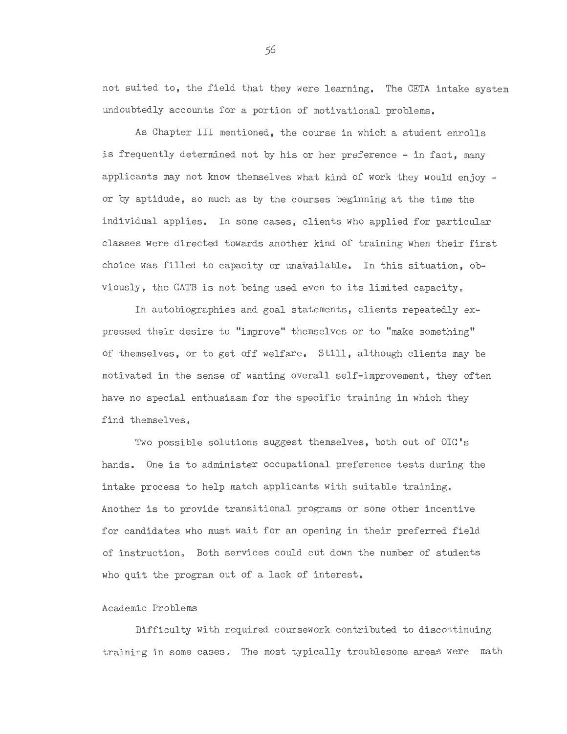not suited to, the field that they were learning. The CETA intake system undoubtedly accounts for a portion of motivational problems.

As Chapter III mentioned, the course in which a student enrolls is frequently determined not by his or her preference - in fact, many applicants may not know themselves what kind of work they would enjoy or by aptidude, so much as by the courses beginning at the time the individual applies. In some cases, clients who applied for particular classes were directed towards another kind of training when their first choice was filled to capacity or unavailable. In this situation, obviously, the GATB is not being used even to its limited capacity.

In autobiographies and goal statements, clients repeatedly expressed their desire to "improve" themselves or to "make something" of themselves, or to get off welfare. Still, although clients may be motivated in the sense of wanting overall self-improvement, they often have no special enthusiasm for the specific training in which they find themselves.

Two possible solutions suggest themselves, both out of OIC's hands. One is to administer occupational preference tests during the intake process to help match applicants with suitable training. Another is to provide transitional programs or some other incentive for candidates who must wait for an opening in their preferred field of instruction. Both services could cut down the number of students who quit the program out of a lack of interest.

#### Academic Problems

Difficulty with required coursework contributed to discontinuing training in some cases. The most typically troublesome areas were math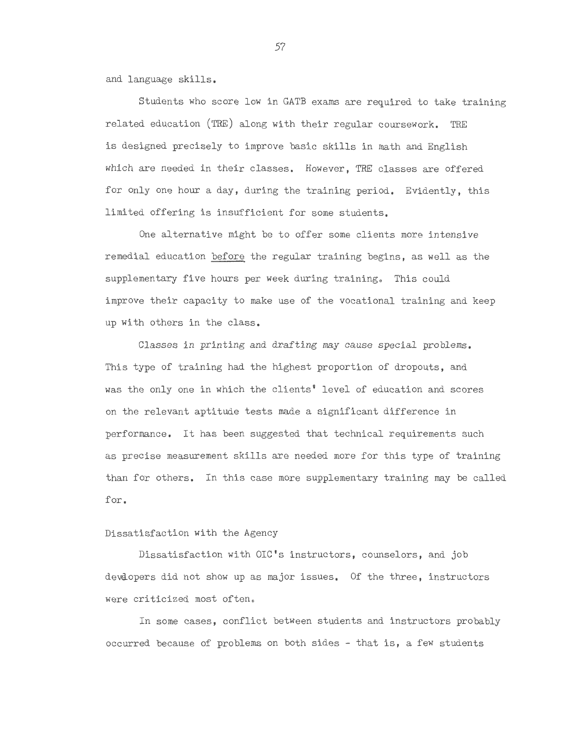and language skills.

Students who score low in GATB exams are required to take training related education (TRE) along with their regular coursework. TRE is designed precisely to improve basic skills in math and English which are needed in their classes. However, TRE classes are offered for only one hour a day, during the training period. Evidently, this limited offering is insufficient for some students.

One alternative might be to offer some clients more intensive remedial education before the regular training begins, as well as the supplementary five hours per week during training. This could improve their capacity to make use of the vocational training and keep up with others in the class.

Classes in printing and drafting may cause special problems. This type of training had the highest proportion of dropouts, and was the only one in which the clients' level of education and scores on the relevant aptitude tests made a significant difference in performance. It has been suggested that technical requirements such as precise measurement skills are needed more for this type of training than for others. In this case more supplementary training may be called for.

#### Dissatisfaction with the Agency

Dissatisfaction with OIC's instructors, counselors, and job devaopers did not show up as major issues. Of the three, instructors were criticized most often.

In some cases, conflict between students and instructors probably occurred because of problems on both sides - that is, a few students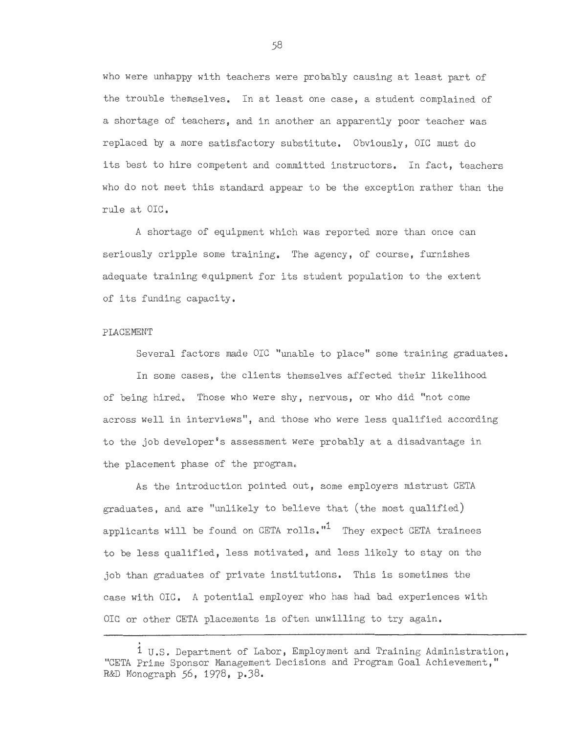who were unhappy with teachers were probably causing at least part of the trouble themselves. In at least one case, a student complained of a shortage of teachers, and in another an apparently poor teacher was replaced by a more satisfactory substitute. Obviously, OIC must do its best to hire competent and committed instructors. In fact, teachers who do not meet this standard appear to be the exception rather than the rule at OIC.

A shortage of equipment which was reported more than once can seriously cripple some training. The agency, of course, furnishes adequate training equipment for its student population to the extent of its funding capacity.

#### PLACEMENT

Several factors made OIC "unable to place" some training graduates.

In some cases, the clients themselves affected their likelihood of being hired. Those who were shy, nervous, or who did "not come across well in interviews", and those who were less qualified according to the job developer's assessment were probably at a disadvantage in the placement phase of the program.

As the introduction pointed out, some employers mistrust CETA  $graduates$ , and are "unlikely to believe that (the most qualified) applicants will be found on CETA rolls. $11$  They expect CETA trainees to be less qualified, less motivated, and less likely to stay on the job than graduates of private institutions. This is sometimes the case with OIC. A potential employer who has had bad experiences with OIC or other CETA placements is often unwilling to try again.

<sup>.</sup>  1 U.S. Department of Labor, Employment and Training Administration, "CETA Prime Sponsor Management Decisions and Program Goal Achievement," R&D Monograph *56,* 1978, p.38.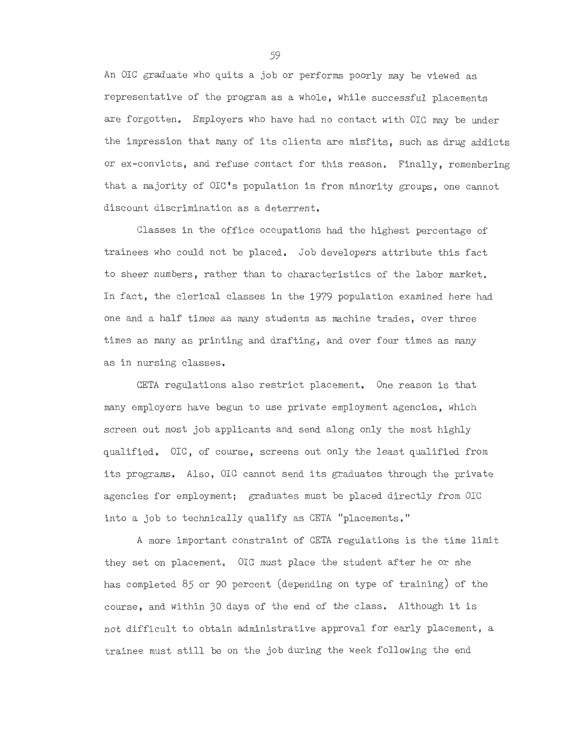An DIC graduate who quits a job or performs poorly may be viewed as representative of the program as a whole, while successful placements are forgotten. Employers who have had no contact with DIC may be under the impression that many of its clients are misfits, such as drug addicts or ex-convicts, and refuse contact for this reason. Finally, remembering that a majority of OIC's population is from minority groups, one cannot discount discrimination as a deterrent.

Classes in the office occupations had the highest percentage of trainees who could not be placed. Job developers attribute this fact to sheer numbers, rather than to characteristics of the labor market. In fact, the clerical classes in the 1979 population examined here had one and a half times as many students as machine trades, over three times as many as printing and drafting, and over four times as many as in nursing classes.

CETA regulations also restrict placement. One reason is that many employers have begun to use private employment agencies, which screen out most job applicants and send along only the most highly qualified. DIC, of course, screens out only the least qualified from its programs. Also, DIC cannot send its graduates through the private agencies for employment; graduates must be placed directly from OIC into a job to technically qualify as CETA "placements."

A more important constraint of CETA regulations is the time limit they set on placement. OIC must place the student after he or she has completed *85* or 90 percent (depending on type of training) of the course, and within 30 days of the end of the class. Although it is not difficult to obtain administrative approval for early placement, a trainee must still be on the job during the week following the end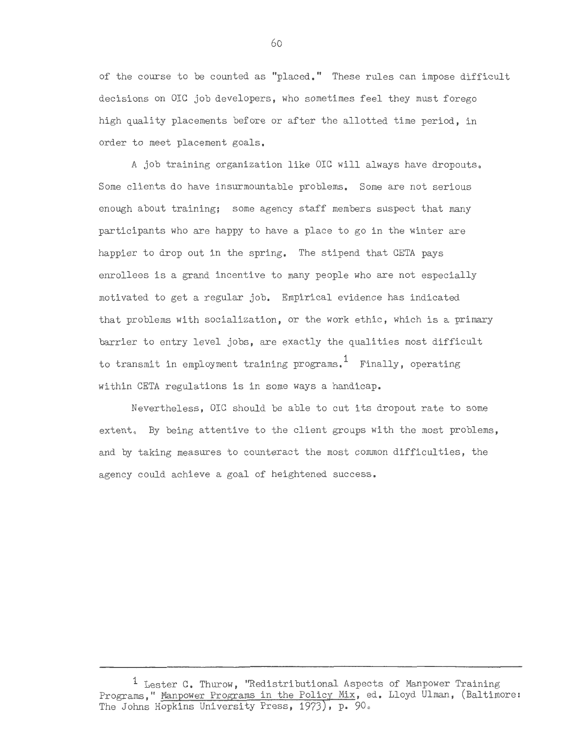of the course to be counted as "placed." These rules can impose difficult decisions on OIC job developers, who sometimes feel they must forego high quality placements before or after the allotted time period, in order to meet placement goals.

A job training organization like OIC will always have dropouts. Some clients do have insurmountable problems. Some are not serious enough about training; some agency staff members suspect that many participants who are happy to have a place to go in the winter are happier to drop out in the spring. The stipend that CETA pays enrollees is a grand incentive to many people who are not especially motivated to get a regular job. Empirical evidence has indicated that problems with socialization, or the work ethic, which is a primary barrier to entry level jobs, are exactly the qualities most difficult to transmit in employment training programs. 1 Finally, operating within CETA regulations is in some ways a handicap.

Nevertheless, OIC should be able to cut its dropout rate to some extent. By being attentive to the client groups with the most problems, and by taking measures to counteract the most common difficulties, the agency could achieve a goal of heightened success.

<sup>&</sup>lt;sup>1</sup> Lester C. Thurow, "Redistributional Aspects of Manpower Training Programs," Manpower Programs in the Policy Mix, ed. Lloyd Ulman, (Baltimore: The Johns Hopkins University Press, 1973), p. 90.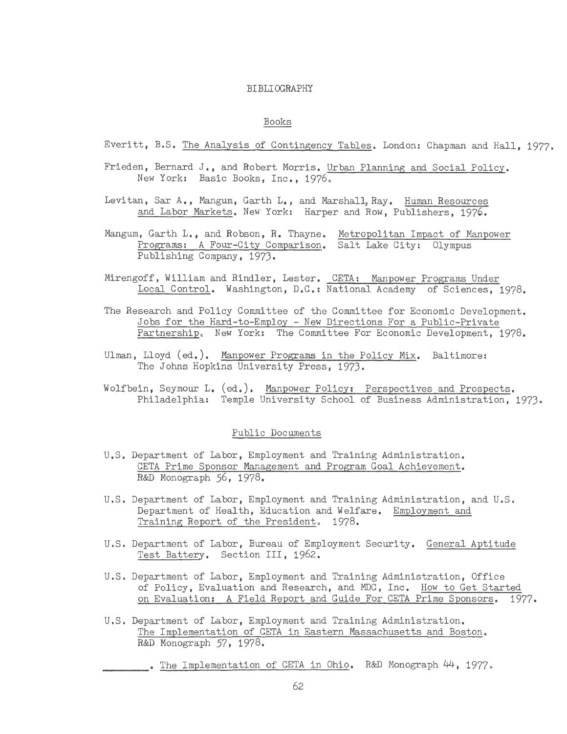#### BIBLIOGRAPHY

# Books

Everitt, B.S. The Analysis of Contingency Tables, London: Chapman and Hall, 1977,

- Frieden, Bernard J., and Robert Morris. Urban Planning and Social Policy. New York: Basic Books, Inc., 1976.
- Levitan, Sar A., Mangum, Garth L., and Marshall, Ray. Human Resources and Labor Markets. New York: Harper and Row, Publishers, 1976.
- Mangum, Garth L., and Robson, R. Thayne. Metropolitan Impact of Manpower Programs: A Four-City Comparison. Salt Lake City: Olympus Publishing Company, 1973.
- Mirengoff, William and Rindler, Lester. CETA: Manpower Programs Under Local Control. Washington, D.C.: National Academy of Sciences, 1978.
- The Research and Policy Committee of the Committee for Economic Development. Jobs for the Hard-to-Employ - New Directions For a Public-Private Partnership. New York: The Committee For Economic Development, 1978.
- Ulman, Lloyd (ed.), Manpower Programs in the Policy Mix. Baltimore: The Johns Hopkins University Press, 1973.
- Wolfbein, Seymour L. (ed.). Manpower Policy: Perspectives and Prospects, Philadelphia: Temple University School of Business Administration, 1973.

#### Public Documents

- U.S. Department of Labor, Employment and Training Administration, CETA Prime Sponsor Management and Program Goal Achievement, R&D Monograph *56,* 1978.
- U.S. Department of Labor, Employment and Training Administration, and U.S. Department of Health, Education and Welfare. Employment and Training Report of the President. 1978.
- U.S. Department of Labor, Bureau of Employment Security. General Aptitude Test Battery. Section III, 1962.
- U.S. Department of Labor, Employment and Training Administration, Office of Policy, Evaluation and Research, and MDC, Inc. How to Get Started on Evaluation: A Field Report and Guide For CETA Prime Sponsors, 1977,
- U.S. Department of Labor, Employment and Training Administration. The Implementation of CETA in Eastern Massachusetts and Boston, R&D Monograph *57,* 1978.

. The Implementation of CETA in Ohio. R&D Monograph 44, 1977.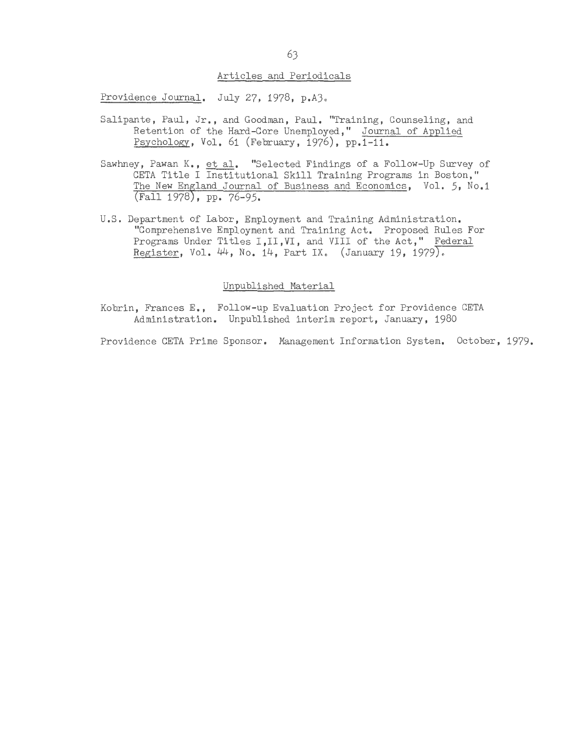#### Articles and Periodicals

Providence Journal. July 27, 1978, p.A3.

- Salipante, Paul, Jr., and Goodman, Paul. "Training, Counseling, and Retention of the Hard-Core Unemployed," Journal of Applied Psychology, Vol. 61 (February, 1976), pp.1-11.
- Sawhney, Pawan K., et al. "Selected Findings of a Follow-Up Survey of CETA Title I Institutional Skill Training Programs in Boston," The New England Journal of Business and Economics, Vol. 5, No.1 (Fall 1978), pp. 76-95.
- U.S. Department of Labor, Employment and Training Administration. "Comprehensive Employment and Training Act. Proposed Rules For Programs Under Titles I, II, VI, and VIII of the Act," Federal Register, Vol.  $44$ , No.  $14$ , Part IX. (January 19, 1979).

#### Unpublished Material

Kobrin, Frances E., Follow-up Evaluation Project for Providence CETA Administration. Unpublished interim report, January, 1980

Providence CETA Prime Sponsor. Management Information System. October, 1979.